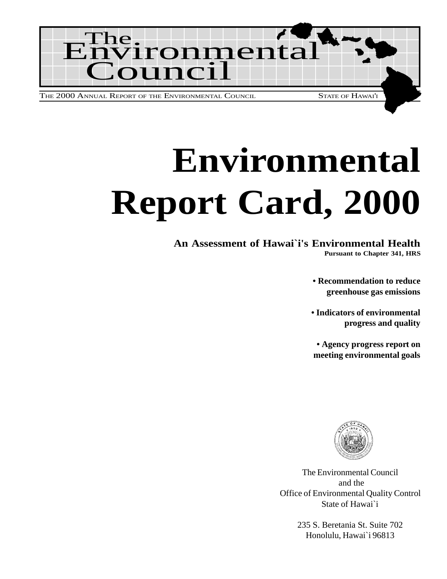

# **Environmental Report Card, 2000**

# **An Assessment of Hawai`i's Environmental Health**

**Pursuant to Chapter 341, HRS**

**• Recommendation to reduce greenhouse gas emissions**

**• Indicators of environmental progress and quality**

**• Agency progress report on meeting environmental goals**



The Environmental Council and the Office of Environmental Quality Control State of Hawai`i

> 235 S. Beretania St. Suite 702 Honolulu, Hawai`i 96813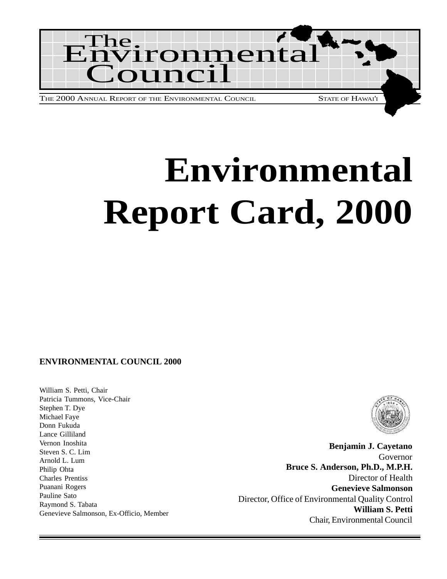

# **Environmental Report Card, 2000**

#### **ENVIRONMENTAL COUNCIL 2000**

William S. Petti, Chair Patricia Tummons, Vice-Chair Stephen T. Dye Michael Faye Donn Fukuda Lance Gilliland Vernon Inoshita Steven S. C. Lim Arnold L. Lum Philip Ohta Charles Prentiss Puanani Rogers Pauline Sato Raymond S. Tabata Genevieve Salmonson, Ex-Officio, Member



**Benjamin J. Cayetano** Governor **Bruce S. Anderson, Ph.D., M.P.H.** Director of Health **Genevieve Salmonson** Director, Office of Environmental Quality Control **William S. Petti** Chair, Environmental Council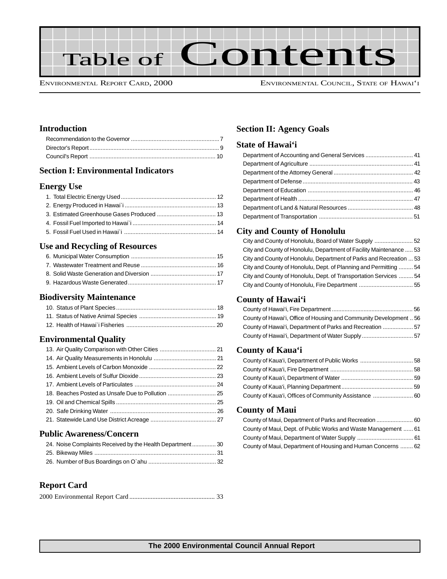

ENVIRONMENTAL REPORT CARD, 2000 ENVIRONMENTAL COUNCIL, STATE OF HAWAI'I

#### **Introduction**

#### **Section I: Environmental Indicators**

#### **Energy Use**

#### **Use and Recycling of Resources**

#### **Biodiversity Maintenance**

#### **Environmental Quality**

#### **Public Awareness/Concern**

| 24. Noise Complaints Received by the Health Department 30 |  |
|-----------------------------------------------------------|--|
|                                                           |  |
|                                                           |  |

#### **Report Card**

|--|--|--|--|--|--|

#### **Section II: Agency Goals**

#### **State of Hawai'i**

#### **City and County of Honolulu**

| City and County of Honolulu, Board of Water Supply 52               |  |
|---------------------------------------------------------------------|--|
| City and County of Honolulu, Department of Facility Maintenance  53 |  |
| City and County of Honolulu, Department of Parks and Recreation  53 |  |
| City and County of Honolulu, Dept. of Planning and Permitting  54   |  |
| City and County of Honolulu, Dept. of Transportation Services  54   |  |
|                                                                     |  |

#### **County of Hawai'i**

| County of Hawai'i, Office of Housing and Community Development  56 |  |
|--------------------------------------------------------------------|--|
| County of Hawai'i, Department of Parks and Recreation  57          |  |
|                                                                    |  |

#### **County of Kaua'i**

| County of Kaua'i, Offices of Community Assistance  60 |  |
|-------------------------------------------------------|--|

#### **County of Maui**

| County of Maui, Dept. of Public Works and Waste Management  61 |  |
|----------------------------------------------------------------|--|
|                                                                |  |
| County of Maui, Department of Housing and Human Concerns  62   |  |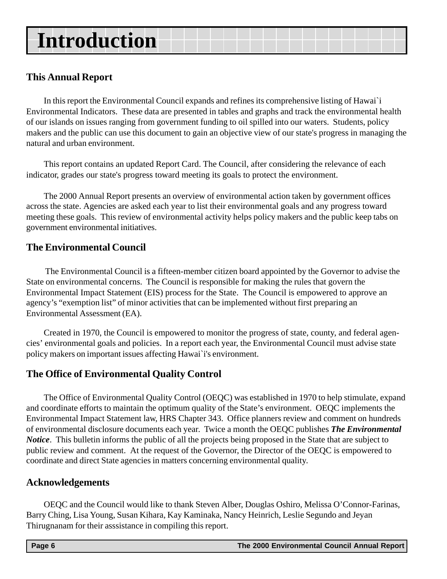# **Introduction**

### **This Annual Report**

In this report the Environmental Council expands and refines its comprehensive listing of Hawai`i Environmental Indicators. These data are presented in tables and graphs and track the environmental health of our islands on issues ranging from government funding to oil spilled into our waters. Students, policy makers and the public can use this document to gain an objective view of our state's progress in managing the natural and urban environment.

This report contains an updated Report Card. The Council, after considering the relevance of each indicator, grades our state's progress toward meeting its goals to protect the environment.

The 2000 Annual Report presents an overview of environmental action taken by government offices across the state. Agencies are asked each year to list their environmental goals and any progress toward meeting these goals. This review of environmental activity helps policy makers and the public keep tabs on government environmental initiatives.

# **The Environmental Council**

The Environmental Council is a fifteen-member citizen board appointed by the Governor to advise the State on environmental concerns. The Council is responsible for making the rules that govern the Environmental Impact Statement (EIS) process for the State. The Council is empowered to approve an agency's "exemption list" of minor activities that can be implemented without first preparing an Environmental Assessment (EA).

Created in 1970, the Council is empowered to monitor the progress of state, county, and federal agencies' environmental goals and policies. In a report each year, the Environmental Council must advise state policy makers on important issues affecting Hawai`i's environment.

### **The Office of Environmental Quality Control**

The Office of Environmental Quality Control (OEQC) was established in 1970 to help stimulate, expand and coordinate efforts to maintain the optimum quality of the State's environment. OEQC implements the Environmental Impact Statement law, HRS Chapter 343. Office planners review and comment on hundreds of environmental disclosure documents each year. Twice a month the OEQC publishes *The Environmental Notice*. This bulletin informs the public of all the projects being proposed in the State that are subject to public review and comment. At the request of the Governor, the Director of the OEQC is empowered to coordinate and direct State agencies in matters concerning environmental quality.

### **Acknowledgements**

OEQC and the Council would like to thank Steven Alber, Douglas Oshiro, Melissa O'Connor-Farinas, Barry Ching, Lisa Young, Susan Kihara, Kay Kaminaka, Nancy Heinrich, Leslie Segundo and Jeyan Thirugnanam for their asssistance in compiling this report.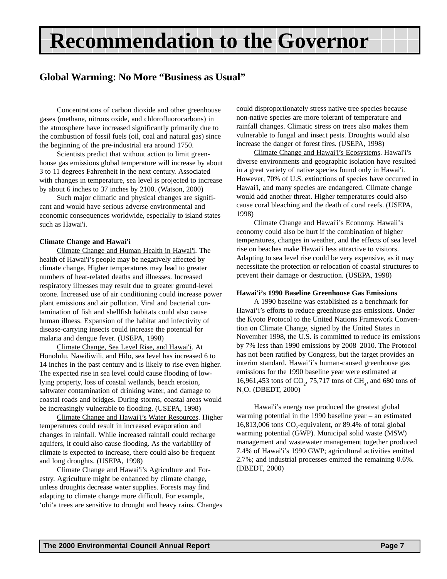# <span id="page-6-0"></span>**Recommendation to the Governor**

### **Global Warming: No More "Business as Usual"**

Concentrations of carbon dioxide and other greenhouse gases (methane, nitrous oxide, and chlorofluorocarbons) in the atmosphere have increased significantly primarily due to the combustion of fossil fuels (oil, coal and natural gas) since the beginning of the pre-industrial era around 1750.

Scientists predict that without action to limit greenhouse gas emissions global temperature will increase by about 3 to 11 degrees Fahrenheit in the next century. Associated with changes in temperature, sea level is projected to increase by about 6 inches to 37 inches by 2100. (Watson, 2000)

Such major climatic and physical changes are significant and would have serious adverse environmental and economic consequences worldwide, especially to island states such as Hawai'i.

#### **Climate Change and Hawai'i**

Climate Change and Human Health in Hawai'i. The health of Hawai'i's people may be negatively affected by climate change. Higher temperatures may lead to greater numbers of heat-related deaths and illnesses. Increased respiratory illnesses may result due to greater ground-level ozone. Increased use of air conditioning could increase power plant emissions and air pollution. Viral and bacterial contamination of fish and shellfish habitats could also cause human illness. Expansion of the habitat and infectivity of disease-carrying insects could increase the potential for malaria and dengue fever. (USEPA, 1998)

Climate Change, Sea Level Rise, and Hawai'i. At Honolulu, Nawiliwili, and Hilo, sea level has increased 6 to 14 inches in the past century and is likely to rise even higher. The expected rise in sea level could cause flooding of lowlying property, loss of coastal wetlands, beach erosion, saltwater contamination of drinking water, and damage to coastal roads and bridges. During storms, coastal areas would be increasingly vulnerable to flooding. (USEPA, 1998)

Climate Change and Hawai'i's Water Resources. Higher temperatures could result in increased evaporation and changes in rainfall. While increased rainfall could recharge aquifers, it could also cause flooding. As the variability of climate is expected to increase, there could also be frequent and long droughts. (USEPA, 1998)

Climate Change and Hawai'i's Agriculture and Forestry. Agriculture might be enhanced by climate change, unless droughts decrease water supplies. Forests may find adapting to climate change more difficult. For example, 'ohi'a trees are sensitive to drought and heavy rains. Changes could disproportionately stress native tree species because non-native species are more tolerant of temperature and rainfall changes. Climatic stress on trees also makes them vulnerable to fungal and insect pests. Droughts would also increase the danger of forest fires. (USEPA, 1998)

Climate Change and Hawai'i's Ecosystems. Hawai'i's diverse environments and geographic isolation have resulted in a great variety of native species found only in Hawai'i. However, 70% of U.S. extinctions of species have occurred in Hawai'i, and many species are endangered. Climate change would add another threat. Higher temperatures could also cause coral bleaching and the death of coral reefs. (USEPA, 1998)

Climate Change and Hawai'i's Economy. Hawaii's economy could also be hurt if the combination of higher temperatures, changes in weather, and the effects of sea level rise on beaches make Hawai'i less attractive to visitors. Adapting to sea level rise could be very expensive, as it may necessitate the protection or relocation of coastal structures to prevent their damage or destruction. (USEPA, 1998)

#### **Hawai'i's 1990 Baseline Greenhouse Gas Emissions**

A 1990 baseline was established as a benchmark for Hawai'i's efforts to reduce greenhouse gas emissions. Under the Kyoto Protocol to the United Nations Framework Convention on Climate Change, signed by the United States in November 1998, the U.S. is committed to reduce its emissions by 7% less than 1990 emissions by 2008–2010. The Protocol has not been ratified by Congress, but the target provides an interim standard. Hawai'i's human-caused greenhouse gas emissions for the 1990 baseline year were estimated at 16,961,453 tons of  $CO_2$ , 75,717 tons of  $CH_4$ , and 680 tons of N<sub>2</sub>O. (DBEDT, 2000)

Hawai'i's energy use produced the greatest global warming potential in the 1990 baseline year – an estimated 16,813,006 tons  $CO_2$ -equivalent, or 89.4% of total global warming potential (GWP). Municipal solid waste (MSW) management and wastewater management together produced 7.4% of Hawai'i's 1990 GWP; agricultural activities emitted 2.7%; and industrial processes emitted the remaining 0.6%. (DBEDT, 2000)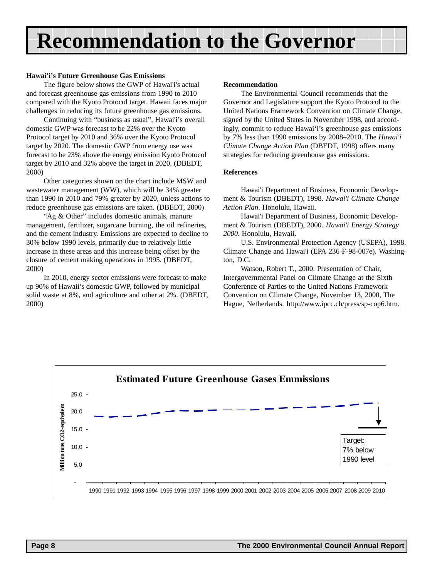# **Recommendation to the Governor**

#### **Hawai'i's Future Greenhouse Gas Emissions**

The figure below shows the GWP of Hawai'i's actual and forecast greenhouse gas emissions from 1990 to 2010 compared with the Kyoto Protocol target. Hawaii faces major challenges in reducing its future greenhouse gas emissions.

Continuing with "business as usual", Hawai'i's overall domestic GWP was forecast to be 22% over the Kyoto Protocol target by 2010 and 36% over the Kyoto Protocol target by 2020. The domestic GWP from energy use was forecast to be 23% above the energy emission Kyoto Protocol target by 2010 and 32% above the target in 2020. (DBEDT, 2000)

Other categories shown on the chart include MSW and wastewater management (WW), which will be 34% greater than 1990 in 2010 and 79% greater by 2020, unless actions to reduce greenhouse gas emissions are taken. (DBEDT, 2000)

"Ag & Other" includes domestic animals, manure management, fertilizer, sugarcane burning, the oil refineries, and the cement industry. Emissions are expected to decline to 30% below 1990 levels, primarily due to relatively little increase in these areas and this increase being offset by the closure of cement making operations in 1995. (DBEDT, 2000)

In 2010, energy sector emissions were forecast to make up 90% of Hawaii's domestic GWP, followed by municipal solid waste at 8%, and agriculture and other at 2%. (DBEDT, 2000)

#### **Recommendation**

The Environmental Council recommends that the Governor and Legislature support the Kyoto Protocol to the United Nations Framework Convention on Climate Change, signed by the United States in November 1998, and accordingly, commit to reduce Hawai'i's greenhouse gas emissions by 7% less than 1990 emissions by 2008–2010. The *Hawai'i Climate Change Action Plan* (DBEDT, 1998) offers many strategies for reducing greenhouse gas emissions.

#### **References**

Hawai'i Department of Business, Economic Development & Tourism (DBEDT), 1998. *Hawai'i Climate Change Action Plan*. Honolulu, Hawaii.

Hawai'i Department of Business, Economic Development & Tourism (DBEDT), 2000. *Hawai'i Energy Strategy 2000*. Honolulu, Hawaii.

U.S. Environmental Protection Agency (USEPA), 1998. Climate Change and Hawai'i (EPA 236-F-98-007e). Washington, D.C.

Watson, Robert T., 2000. Presentation of Chair, Intergovernmental Panel on Climate Change at the Sixth Conference of Parties to the United Nations Framework Convention on Climate Change, November 13, 2000, The Hague, Netherlands. http://www.ipcc.ch/press/sp-cop6.htm.

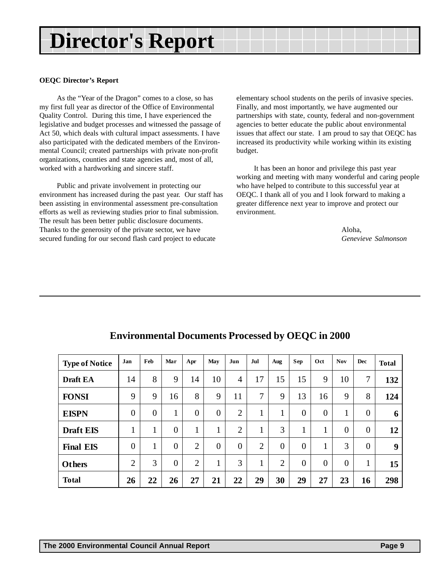# <span id="page-8-0"></span>**Director's Report**

#### **OEQC Director's Report**

As the "Year of the Dragon" comes to a close, so has my first full year as director of the Office of Environmental Quality Control. During this time, I have experienced the legislative and budget processes and witnessed the passage of Act 50, which deals with cultural impact assessments. I have also participated with the dedicated members of the Environmental Council; created partnerships with private non-profit organizations, counties and state agencies and, most of all, worked with a hardworking and sincere staff.

Public and private involvement in protecting our environment has increased during the past year. Our staff has been assisting in environmental assessment pre-consultation efforts as well as reviewing studies prior to final submission. The result has been better public disclosure documents. Thanks to the generosity of the private sector, we have secured funding for our second flash card project to educate

elementary school students on the perils of invasive species. Finally, and most importantly, we have augmented our partnerships with state, county, federal and non-government agencies to better educate the public about environmental issues that affect our state. I am proud to say that OEQC has increased its productivity while working within its existing budget.

It has been an honor and privilege this past year working and meeting with many wonderful and caring people who have helped to contribute to this successful year at OEQC. I thank all of you and I look forward to making a greater difference next year to improve and protect our environment.

> Aloha, *Genevieve Salmonson*

| <b>Type of Notice</b> | Jan            | Feb            | Mar            | Apr            | May            | Jun            | Jul            | Aug            | Sep            | Oct            | <b>Nov</b>     | <b>Dec</b>     | <b>Total</b> |
|-----------------------|----------------|----------------|----------------|----------------|----------------|----------------|----------------|----------------|----------------|----------------|----------------|----------------|--------------|
| <b>Draft EA</b>       | 14             | 8              | 9              | 14             | 10             | $\overline{4}$ | 17             | 15             | 15             | 9              | 10             | 7              | 132          |
| <b>FONSI</b>          | 9              | 9              | 16             | 8              | 9              | 11             | 7              | 9              | 13             | 16             | 9              | 8              | 124          |
| <b>EISPN</b>          | $\overline{0}$ | $\overline{0}$ | 1              | $\overline{0}$ | $\overline{0}$ | $\overline{2}$ | 1              | 1              | $\overline{0}$ | $\overline{0}$ | $\mathbf{1}$   | $\overline{0}$ | 6            |
| <b>Draft EIS</b>      | $\mathbf{1}$   | 1              | $\overline{0}$ | $\mathbf{1}$   | $\mathbf{1}$   | $\overline{2}$ | 1              | 3              | 1              | 1              | $\overline{0}$ | $\overline{0}$ | 12           |
| <b>Final EIS</b>      | $\overline{0}$ |                | $\overline{0}$ | $\overline{2}$ | $\overline{0}$ | $\overline{0}$ | $\overline{2}$ | $\overline{0}$ | $\overline{0}$ | 1<br>ı         | 3              | $\overline{0}$ | 9            |
| <b>Others</b>         | $\overline{2}$ | 3              | $\overline{0}$ | $\overline{2}$ | $\mathbf{1}$   | 3              | 1              | $\overline{2}$ | $\overline{0}$ | $\overline{0}$ | $\overline{0}$ | 1              | 15           |
| <b>Total</b>          | 26             | 22             | 26             | 27             | 21             | 22             | 29             | 30             | 29             | 27             | 23             | 16             | 298          |

### **Environmental Documents Processed by OEQC in 2000**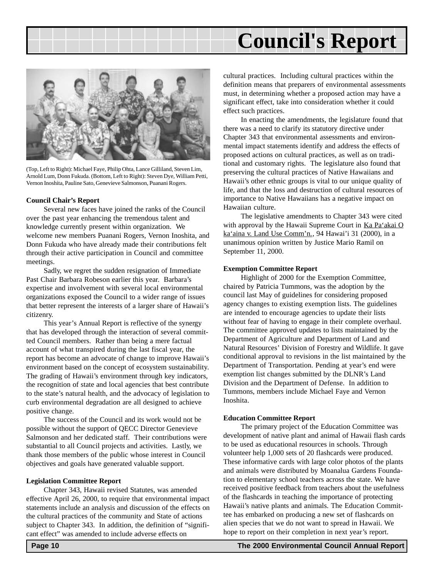# **Council's Report**

<span id="page-9-0"></span>

(Top, Left to Right): Michael Faye, Philip Ohta, Lance Gilliland, Steven Lim, Arnold Lum, Donn Fukuda. (Bottom, Left to Right): Steven Dye, William Petti, Vernon Inoshita, Pauline Sato, Genevieve Salmonson, Puanani Rogers.

#### **Council Chair's Report**

Several new faces have joined the ranks of the Council over the past year enhancing the tremendous talent and knowledge currently present within organization. We welcome new members Puanani Rogers, Vernon Inoshita, and Donn Fukuda who have already made their contributions felt through their active participation in Council and committee meetings.

Sadly, we regret the sudden resignation of Immediate Past Chair Barbara Robeson earlier this year. Barbara's expertise and involvement with several local environmental organizations exposed the Council to a wider range of issues that better represent the interests of a larger share of Hawaii's citizenry.

This year's Annual Report is reflective of the synergy that has developed through the interaction of several committed Council members. Rather than being a mere factual account of what transpired during the last fiscal year, the report has become an advocate of change to improve Hawaii's environment based on the concept of ecosystem sustainability. The grading of Hawaii's environment through key indicators, the recognition of state and local agencies that best contribute to the state's natural health, and the advocacy of legislation to curb environmental degradation are all designed to achieve positive change.

The success of the Council and its work would not be possible without the support of QECC Director Genevieve Salmonson and her dedicated staff. Their contributions were substantial to all Council projects and activities. Lastly, we thank those members of the public whose interest in Council objectives and goals have generated valuable support.

#### **Legislation Committee Report**

Chapter 343, Hawaii revised Statutes, was amended effective April 26, 2000, to require that environmental impact statements include an analysis and discussion of the effects on the cultural practices of the community and State of actions subject to Chapter 343. In addition, the definition of "significant effect" was amended to include adverse effects on

cultural practices. Including cultural practices within the definition means that preparers of environmental assessments must, in determining whether a proposed action may have a significant effect, take into consideration whether it could effect such practices.

In enacting the amendments, the legislature found that there was a need to clarify its statutory directive under Chapter 343 that environmental assessments and environmental impact statements identify and address the effects of proposed actions on cultural practices, as well as on traditional and customary rights. The legislature also found that preserving the cultural practices of Native Hawaiians and Hawaii's other ethnic groups is vital to our unique quality of life, and that the loss and destruction of cultural resources of importance to Native Hawaiians has a negative impact on Hawaiian culture.

The legislative amendments to Chapter 343 were cited with approval by the Hawaii Supreme Court in Ka Pa'akai O ka'aina v. Land Use Comm'n., 94 Hawai'i 31 (2000), in a unanimous opinion written by Justice Mario Ramil on September 11, 2000.

#### **Exemption Committee Report**

Highlight of 2000 for the Exemption Committee, chaired by Patricia Tummons, was the adoption by the council last May of guidelines for considering proposed agency changes to existing exemption lists. The guidelines are intended to encourage agencies to update their lists without fear of having to engage in their complete overhaul. The committee approved updates to lists maintained by the Department of Agriculture and Department of Land and Natural Resources' Division of Forestry and Wildlife. It gave conditional approval to revisions in the list maintained by the Department of Transportation. Pending at year's end were exemption list changes submitted by the DLNR's Land Division and the Department of Defense. In addition to Tummons, members include Michael Faye and Vernon Inoshita.

#### **Education Committee Report**

The primary project of the Education Committee was development of native plant and animal of Hawaii flash cards to be used as educational resources in schools. Through volunteer help 1,000 sets of 20 flashcards were produced. These informative cards with large color photos of the plants and animals were distributed by Moanalua Gardens Foundation to elementary school teachers across the state. We have received positive feedback from teachers about the usefulness of the flashcards in teaching the importance of protecting Hawaii's native plants and animals. The Education Committee has embarked on producing a new set of flashcards on alien species that we do not want to spread in Hawaii. We hope to report on their completion in next year's report.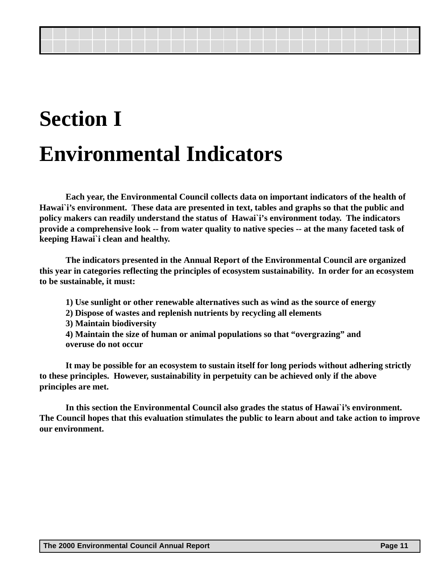# **Section I Environmental Indicators**

**Each year, the Environmental Council collects data on important indicators of the health of Hawai`i's environment. These data are presented in text, tables and graphs so that the public and policy makers can readily understand the status of Hawai`i's environment today. The indicators provide a comprehensive look -- from water quality to native species -- at the many faceted task of keeping Hawai`i clean and healthy.**

**The indicators presented in the Annual Report of the Environmental Council are organized this year in categories reflecting the principles of ecosystem sustainability. In order for an ecosystem to be sustainable, it must:**

- **1) Use sunlight or other renewable alternatives such as wind as the source of energy**
- **2) Dispose of wastes and replenish nutrients by recycling all elements**
- **3) Maintain biodiversity**
- **4) Maintain the size of human or animal populations so that "overgrazing" and overuse do not occur**

**It may be possible for an ecosystem to sustain itself for long periods without adhering strictly to these principles. However, sustainability in perpetuity can be achieved only if the above principles are met.**

**In this section the Environmental Council also grades the status of Hawai`i's environment. The Council hopes that this evaluation stimulates the public to learn about and take action to improve our environment.**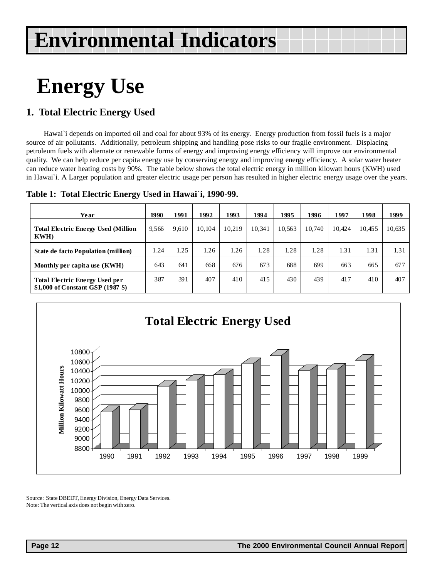# <span id="page-11-0"></span>**Energy Use**

# **1. Total Electric Energy Used**

Hawai`i depends on imported oil and coal for about 93% of its energy. Energy production from fossil fuels is a major source of air pollutants. Additionally, petroleum shipping and handling pose risks to our fragile environment. Displacing petroleum fuels with alternate or renewable forms of energy and improving energy efficiency will improve our environmental quality. We can help reduce per capita energy use by conserving energy and improving energy efficiency. A solar water heater can reduce water heating costs by 90%. The table below shows the total electric energy in million kilowatt hours (KWH) used in Hawai`i. A Larger population and greater electric usage per person has resulted in higher electric energy usage over the years.

**Table 1: Total Electric Energy Used in Hawai`i, 1990-99.**

| Year                                                                | 1990  | 1991  | 1992   | 1993   | 1994   | 1995   | 1996   | 1997   | 1998   | 1999   |
|---------------------------------------------------------------------|-------|-------|--------|--------|--------|--------|--------|--------|--------|--------|
| <b>Total Electric Energy Used (Million)</b><br>KWH)                 | 9.566 | 9.610 | 10.104 | 10.219 | 10.341 | 10.563 | 10.740 | 10.424 | 10.455 | 10,635 |
| <b>State de facto Population (million)</b>                          | 1.24  | 1.25  | 1.26   | 1.26   | 1.28   | 1.28   | 1.28   | 1.31   | 1.31   | 1.31   |
| Monthly per capita use (KWH)                                        | 643   | 641   | 668    | 676    | 673    | 688    | 699    | 663    | 665    | 677    |
| Total Electric Energy Used per<br>\$1,000 of Constant GSP (1987 \$) | 387   | 391   | 407    | 410    | 415    | 430    | 439    | 417    | 410    | 407    |



Source: State DBEDT, Energy Division, Energy Data Services. Note: The vertical axis does not begin with zero.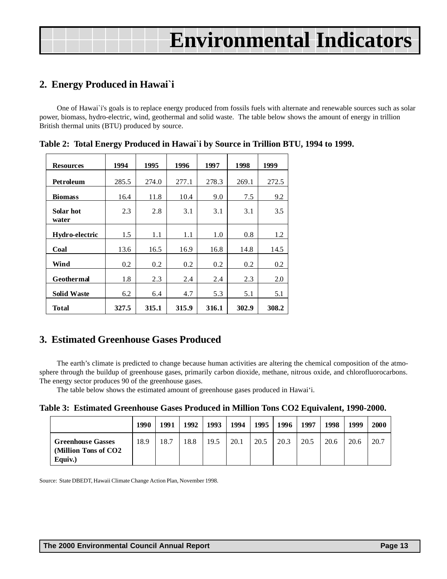# <span id="page-12-0"></span>**2. Energy Produced in Hawai`i**

One of Hawai`i's goals is to replace energy produced from fossils fuels with alternate and renewable sources such as solar power, biomass, hydro-electric, wind, geothermal and solid waste. The table below shows the amount of energy in trillion British thermal units (BTU) produced by source.

| <b>Resources</b>   | 1994  | 1995  | 1996  | 1997  | 1998  | 1999  |
|--------------------|-------|-------|-------|-------|-------|-------|
| Petroleum          | 285.5 | 274.0 | 277.1 | 278.3 | 269.1 | 272.5 |
| <b>Biomass</b>     | 16.4  | 11.8  | 10.4  | 9.0   | 7.5   | 9.2   |
| Solar hot<br>water | 2.3   | 2.8   | 3.1   | 3.1   | 3.1   | 3.5   |
| Hydro-electric     | 1.5   | 1.1   | 1.1   | 1.0   | 0.8   | 1.2   |
| Coal               | 13.6  | 16.5  | 16.9  | 16.8  | 14.8  | 14.5  |
| Wind               | 0.2   | 0.2   | 0.2   | 0.2   | 0.2   | 0.2   |
| Geothermal         | 1.8   | 2.3   | 2.4   | 2.4   | 2.3   | 2.0   |
| <b>Solid Waste</b> | 6.2   | 6.4   | 4.7   | 5.3   | 5.1   | 5.1   |
| <b>Total</b>       | 327.5 | 315.1 | 315.9 | 316.1 | 302.9 | 308.2 |

**Table 2: Total Energy Produced in Hawai`i by Source in Trillion BTU, 1994 to 1999.**

### **3. Estimated Greenhouse Gases Produced**

The earth's climate is predicted to change because human activities are altering the chemical composition of the atmosphere through the buildup of greenhouse gases, primarily carbon dioxide, methane, nitrous oxide, and chlorofluorocarbons. The energy sector produces 90 of the greenhouse gases.

The table below shows the estimated amount of greenhouse gases produced in Hawai'i.

|  |  | Table 3: Estimated Greenhouse Gases Produced in Million Tons CO2 Equivalent, 1990-2000. |  |  |  |  |  |  |  |
|--|--|-----------------------------------------------------------------------------------------|--|--|--|--|--|--|--|
|--|--|-----------------------------------------------------------------------------------------|--|--|--|--|--|--|--|

|                                                             | 1990 | 1991 | 1992 | 1993 | 1994 | 1995 l | 1996 | 1997 | 1998 | 1999 | 2000 |
|-------------------------------------------------------------|------|------|------|------|------|--------|------|------|------|------|------|
| <b>Greenhouse Gasses</b><br>(Million Tons of CO2<br>Equiv.) | 18.9 | 18.7 | 18.8 | 19.5 | 20.1 | 20.5   | 20.3 | 20.5 | 20.6 | 20.6 | 20.7 |

Source: State DBEDT, Hawaii Climate Change Action Plan, November 1998.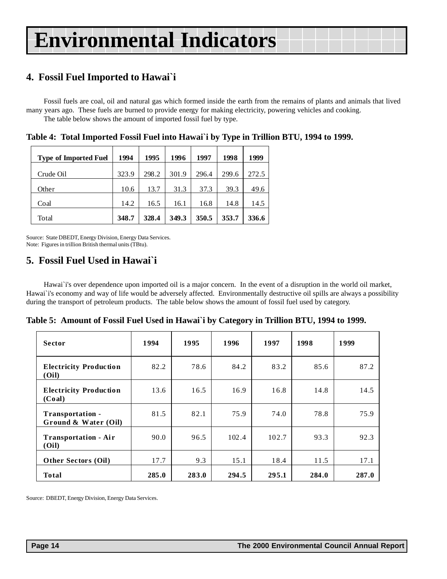# <span id="page-13-0"></span>**4. Fossil Fuel Imported to Hawai`i**

Fossil fuels are coal, oil and natural gas which formed inside the earth from the remains of plants and animals that lived many years ago. These fuels are burned to provide energy for making electricity, powering vehicles and cooking. The table below shows the amount of imported fossil fuel by type.

| <b>Type of Imported Fuel</b> | 1994  | 1995  | 1996  | 1997  | 1998  | 1999  |
|------------------------------|-------|-------|-------|-------|-------|-------|
| Crude Oil                    | 323.9 | 298.2 | 301.9 | 296.4 | 299.6 | 272.5 |
| Other                        | 10.6  | 13.7  | 31.3  | 37.3  | 39.3  | 49.6  |
| Coal                         | 14.2  | 16.5  | 16.1  | 16.8  | 14.8  | 14.5  |
| Total                        | 348.7 | 328.4 | 349.3 | 350.5 | 353.7 | 336.6 |

**Table 4: Total Imported Fossil Fuel into Hawai`i by Type in Trillion BTU, 1994 to 1999.**

Source: State DBEDT, Energy Division, Energy Data Services. Note: Figures in trillion British thermal units (TBtu).

### **5. Fossil Fuel Used in Hawai`i**

Hawai`i's over dependence upon imported oil is a major concern. In the event of a disruption in the world oil market, Hawai`i's economy and way of life would be adversely affected. Environmentally destructive oil spills are always a possibility during the transport of petroleum products. The table below shows the amount of fossil fuel used by category.

**Table 5: Amount of Fossil Fuel Used in Hawai`i by Category in Trillion BTU, 1994 to 1999.**

| <b>Sector</b>                            | 1994  | 1995  | 1996  | 1997  | 1998  | 1999  |
|------------------------------------------|-------|-------|-------|-------|-------|-------|
| <b>Electricity Production</b><br>(Oil)   | 82.2  | 78.6  | 84.2  | 83.2  | 85.6  | 87.2  |
| <b>Electricity Production</b><br>(Coal)  | 13.6  | 16.5  | 16.9  | 16.8  | 14.8  | 14.5  |
| Transportation -<br>Ground & Water (Oil) | 81.5  | 82.1  | 75.9  | 74.0  | 78.8  | 75.9  |
| <b>Transportation - Air</b><br>(Oil)     | 90.0  | 96.5  | 102.4 | 102.7 | 93.3  | 92.3  |
| Other Sectors (Oil)                      | 17.7  | 9.3   | 15.1  | 18.4  | 11.5  | 17.1  |
| <b>Total</b>                             | 285.0 | 283.0 | 294.5 | 295.1 | 284.0 | 287.0 |

Source: DBEDT, Energy Division, Energy Data Services.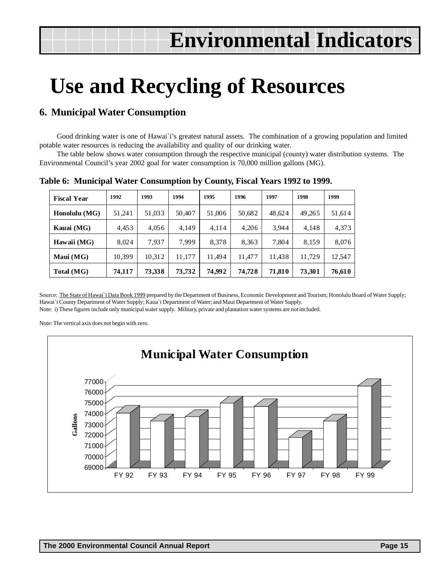# <span id="page-14-0"></span>**Use and Recycling of Resources**

### **6. Municipal Water Consumption**

Good drinking water is one of Hawai`i's greatest natural assets. The combination of a growing population and limited potable water resources is reducing the availability and quality of our drinking water.

The table below shows water consumption through the respective municipal (county) water distribution systems. The Environmental Council's year 2002 goal for water consumption is 70,000 million gallons (MG).

| <b>Fiscal Year</b> | 1992   | 1993   | 1994   | 1995   | 1996   | 1997   | 1998   | 1999   |
|--------------------|--------|--------|--------|--------|--------|--------|--------|--------|
| Honolulu (MG)      | 51,241 | 51,033 | 50,407 | 51,006 | 50,682 | 48,624 | 49,265 | 51,614 |
| Kauai (MG)         | 4.453  | 4.056  | 4.149  | 4,114  | 4.206  | 3.944  | 4.148  | 4,373  |
| Hawaii (MG)        | 8.024  | 7.937  | 7.999  | 8.378  | 8,363  | 7.804  | 8,159  | 8,076  |
| Maui $(MG)$        | 10.399 | 10,312 | 11,177 | 11.494 | 11,477 | 11,438 | 11,729 | 12,547 |
| Total (MG)         | 74,117 | 73,338 | 73,732 | 74,992 | 74,728 | 71,810 | 73,301 | 76,610 |

**Table 6: Municipal Water Consumption by County, Fiscal Years 1992 to 1999.**

Source: The State of Hawai`i Data Book 1999 prepared by the Department of Business, Economic Development and Tourism; Honolulu Board of Water Supply; Hawai`i County Department of Water Supply; Kaua`i Department of Water; and Maui Department of Water Supply.

Note: i) These figures include only municipal water supply. Military, private and plantation water systems are not included.

Note: The vertical axis does not begin with zero.

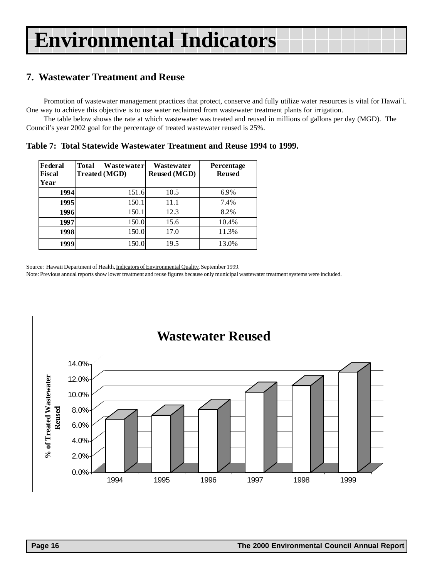### <span id="page-15-0"></span>**7. Wastewater Treatment and Reuse**

Promotion of wastewater management practices that protect, conserve and fully utilize water resources is vital for Hawai`i. One way to achieve this objective is to use water reclaimed from wastewater treatment plants for irrigation.

The table below shows the rate at which wastewater was treated and reused in millions of gallons per day (MGD). The Council's year 2002 goal for the percentage of treated wastewater reused is 25%.

**Table 7: Total Statewide Wastewater Treatment and Reuse 1994 to 1999.**

| Federal<br>Fiscal<br>Year | Total<br>Wastewaterl<br><b>Treated (MGD)</b> | Wastewater<br><b>Reused</b> (MGD) | <b>Percentage</b><br><b>Reused</b> |
|---------------------------|----------------------------------------------|-----------------------------------|------------------------------------|
| 1994                      | 151.6                                        | 10.5                              | 6.9%                               |
| 1995                      | 150.1                                        | 11.1                              | 7.4%                               |
| 1996                      | 150.1                                        | 12.3                              | 8.2%                               |
| 1997                      | 150.0                                        | 15.6                              | 10.4%                              |
| 1998                      | 150.0                                        | 17.0                              | 11.3%                              |
| 1999                      | 150.0                                        | 19.5                              | 13.0%                              |

Source: Hawaii Department of Health, Indicators of Environmental Quality, September 1999.

Note: Previous annual reports show lower treatment and reuse figures because only municipal wastewater treatment systems were included.

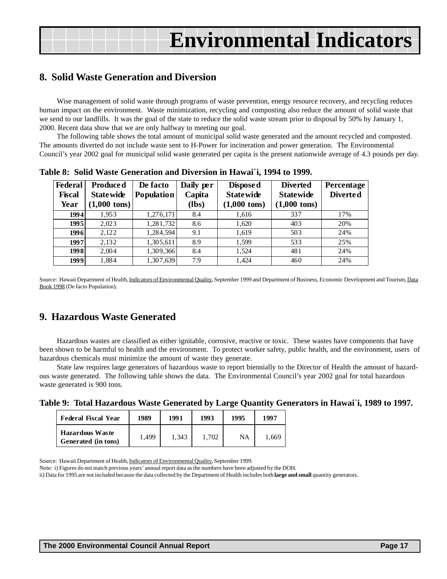### <span id="page-16-0"></span>**8. Solid Waste Generation and Diversion**

Wise management of solid waste through programs of waste prevention, energy resource recovery, and recycling reduces human impact on the environment. Waste minimization, recycling and composting also reduce the amount of solid waste that we send to our landfills. It was the goal of the state to reduce the solid waste stream prior to disposal by 50% by January 1, 2000. Recent data show that we are only halfway to meeting our goal.

The following table shows the total amount of municipal solid waste generated and the amount recycled and composted. The amounts diverted do not include waste sent to H-Power for incineration and power generation. The Environmental Council's year 2002 goal for municipal solid waste generated per capita is the present nationwide average of 4.3 pounds per day.

| Federal<br><b>Fiscal</b><br>Year | Produced<br><b>State wide</b><br>$(1,000 \text{ tons})$ | De facto<br>Population | Daily per<br>Capita<br>(lbs) | Dispose d<br><b>State wide</b><br>$(1,000 \text{ tons})$ | <b>Diverted</b><br><b>Statewide</b><br>$(1,000 \text{ tons})$ | Percentage<br>Diverted |
|----------------------------------|---------------------------------------------------------|------------------------|------------------------------|----------------------------------------------------------|---------------------------------------------------------------|------------------------|
| 1994                             | 1.953                                                   | 1,276,171              | 8.4                          | 1,616                                                    | 337                                                           | 17%                    |
| 1995                             | 2.023                                                   | 1,281,732              | 8.6                          | 1,620                                                    | 403                                                           | 20%                    |
| 1996                             | 2,122                                                   | 1,284,594              | 9.1                          | 1,619                                                    | 503                                                           | 24%                    |
| 1997                             | 2,132                                                   | 1,305,611              | 8.9                          | 1,599                                                    | 533                                                           | 25%                    |
| 1998                             | 2,004                                                   | 1,309,366              | 8.4                          | 1,524                                                    | 481                                                           | 24%                    |
| 1999                             | 1,884                                                   | 1,307,639              | 7.9                          | 1.424                                                    | 460                                                           | 24%                    |

**Table 8: Solid Waste Generation and Diversion in Hawai`i, 1994 to 1999.**

Source: Hawaii Department of Health, Indicators of Environmental Quality, September 1999 and Department of Business, Economic Development and Tourism, Data Book 1998 (De facto Population).

### **9. Hazardous Waste Generated**

Hazardous wastes are classified as either ignitable, corrosive, reactive or toxic. These wastes have components that have been shown to be harmful to health and the environment. To protect worker safety, public health, and the environment, users of hazardous chemicals must minimize the amount of waste they generate.

State law requires large generators of hazardous waste to report biennially to the Director of Health the amount of hazardous waste generated. The following table shows the data. The Environmental Council's year 2002 goal for total hazardous waste generated is 900 tons.

| Table 9: Total Hazardous Waste Generated by Large Quantity Generators in Hawai'i, 1989 to 1997. |  |  |  |  |  |  |  |
|-------------------------------------------------------------------------------------------------|--|--|--|--|--|--|--|
|-------------------------------------------------------------------------------------------------|--|--|--|--|--|--|--|

| <b>Federal Fiscal Year</b>                    | 1989  | 1991  | 1993  | 1995 | 1997  |
|-----------------------------------------------|-------|-------|-------|------|-------|
| <b>Hazardous Waste</b><br>Generated (in tons) | 1.499 | 1.343 | 1.702 | NA   | 1,669 |

Source: Hawaii Department of Health, Indicators of Environmental Quality, September 1999.

Note: i) Figures do not match previous years' annual report data as the numbers have been adjusted by the DOH.

ii) Data for 1995 are not included because the data collected by the Department of Health includes both **large and small** quantity generators.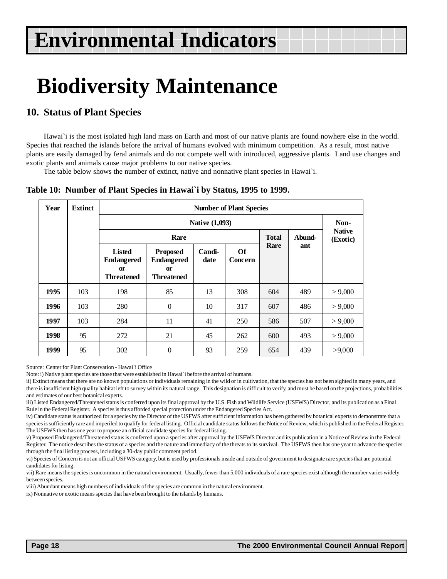# <span id="page-17-0"></span>**Biodiversity Maintenance**

### **10. Status of Plant Species**

Hawai'i is the most isolated high land mass on Earth and most of our native plants are found nowhere else in the world. Species that reached the islands before the arrival of humans evolved with minimum competition. As a result, most native plants are easily damaged by feral animals and do not compete well with introduced, aggressive plants. Land use changes and exotic plants and animals cause major problems to our native species.

The table below shows the number of extinct, native and nonnative plant species in Hawai`i.

#### **Table 10: Number of Plant Species in Hawai`i by Status, 1995 to 1999.**

| Year | <b>Extinct</b> |                                                                      | <b>Number of Plant Species</b>                                         |                       |               |              |        |                           |  |  |
|------|----------------|----------------------------------------------------------------------|------------------------------------------------------------------------|-----------------------|---------------|--------------|--------|---------------------------|--|--|
|      |                |                                                                      |                                                                        | <b>Native (1,093)</b> |               |              |        | Non-                      |  |  |
|      |                |                                                                      | Rare                                                                   |                       |               | <b>Total</b> | Abund- | <b>Native</b><br>(Exotic) |  |  |
|      |                | <b>Listed</b><br><b>Endangered</b><br><b>or</b><br><b>Threatened</b> | <b>Proposed</b><br><b>Endangered</b><br><b>or</b><br><b>Threatened</b> | <b>Candi-</b><br>date | Of<br>Concern | Rare         | ant    |                           |  |  |
| 1995 | 103            | 198                                                                  | 85                                                                     | 13                    | 308           | 604          | 489    | > 9,000                   |  |  |
| 1996 | 103            | 280                                                                  | $\mathbf{0}$                                                           | 10                    | 317           | 607          | 486    | > 9,000                   |  |  |
| 1997 | 103            | 284                                                                  | 11                                                                     | 41                    | 250           | 586          | 507    | > 9,000                   |  |  |
| 1998 | 95             | 272                                                                  | 21                                                                     | 45                    | 262           | 600          | 493    | > 9,000                   |  |  |
| 1999 | 95             | 302                                                                  | $\mathbf{0}$                                                           | 93                    | 259           | 654          | 439    | >9,000                    |  |  |

Source: Center for Plant Conservation - Hawai`i Office

Note: i) Native plant species are those that were established in Hawai`i before the arrival of humans.

ii) Extinct means that there are no known populations or individuals remaining in the wild or in cultivation, that the species has not been sighted in many years, and there is insufficient high quality habitat left to survey within its natural range. This designation is difficult to verify, and must be based on the projections, probabilities and estimates of our best botanical experts.

iii) Listed Endangered/Threatened status is conferred upon its final approval by the U.S. Fish and Wildlife Service (USFWS) Director, and its publication as a Final Rule in the Federal Register. A species is thus afforded special protection under the Endangered Species Act.

iv) Candidate status is authorized for a species by the Director of the USFWS after sufficient information has been gathered by botanical experts to demonstrate that a species is sufficiently rare and imperiled to qualify for federal listing. Official candidate status follows the Notice of Review, which is published in the Federal Register. The USFWS then has one year to propose an official candidate species for federal listing.

v) Proposed Endangered/Threatened status is conferred upon a species after approval by the USFWS Director and its publication in a Notice of Review in the Federal Register. The notice describes the status of a species and the nature and immediacy of the threats to its survival. The USFWS then has one year to advance the species through the final listing process, including a 30-day public comment period.

vi) Species of Concern is not an official USFWS category, but is used by professionals inside and outside of government to designate rare species that are potential candidates for listing.

vii) Rare means the species is uncommon in the natural environment. Usually, fewer than 5,000 individuals of a rare species exist although the number varies widely between species.

viii) Abundant means high numbers of individuals of the species are common in the natural environment.

ix) Nonnative or exotic means species that have been brought to the islands by humans.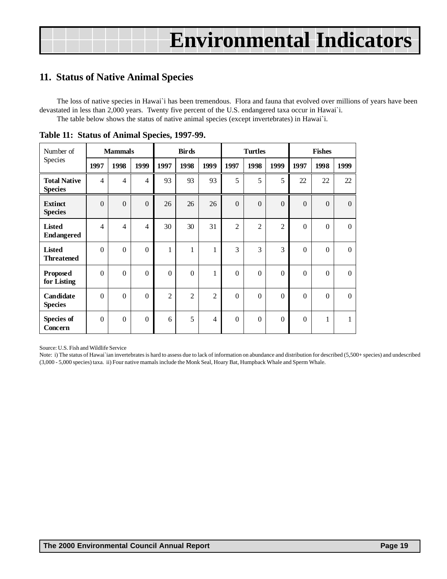### <span id="page-18-0"></span>**11. Status of Native Animal Species**

The loss of native species in Hawai`i has been tremendous. Flora and fauna that evolved over millions of years have been devastated in less than 2,000 years. Twenty five percent of the U.S. endangered taxa occur in Hawai`i. The table below shows the status of native animal species (except invertebrates) in Hawai`i.

| Number of                             | <b>Mammals</b> |                |                |                  | <b>Birds</b>   |                |                | <b>Turtles</b>   |                  |                  | <b>Fishes</b>    |              |
|---------------------------------------|----------------|----------------|----------------|------------------|----------------|----------------|----------------|------------------|------------------|------------------|------------------|--------------|
| Species                               | 1997           | 1998           | 1999           | 1997             | 1998           | 1999           | 1997           | 1998             | 1999             | 1997             | 1998             | 1999         |
| <b>Total Native</b><br><b>Species</b> | $\overline{4}$ | $\overline{4}$ | 4              | 93               | 93             | 93             | 5              | 5                | 5                | 22               | 22               | 22           |
| <b>Extinct</b><br><b>Species</b>      | $\mathbf{0}$   | $\mathbf{0}$   | $\theta$       | 26               | 26             | 26             | $\mathbf{0}$   | $\mathbf{0}$     | $\mathbf{0}$     | $\mathbf{0}$     | $\mathbf{0}$     | $\mathbf{0}$ |
| <b>Listed</b><br><b>Endangered</b>    | $\overline{4}$ | $\overline{4}$ | $\overline{4}$ | 30               | 30             | 31             | $\overline{2}$ | $\overline{2}$   | $\overline{2}$   | $\theta$         | $\boldsymbol{0}$ | $\Omega$     |
| <b>Listed</b><br><b>Threatened</b>    | $\mathbf{0}$   | $\mathbf{0}$   | $\theta$       | $\mathbf{1}$     | $\mathbf{1}$   | 1              | 3              | 3                | 3                | $\boldsymbol{0}$ | $\mathbf{0}$     | $\mathbf{0}$ |
| <b>Proposed</b><br>for Listing        | $\theta$       | $\theta$       | $\overline{0}$ | $\boldsymbol{0}$ | $\theta$       | $\mathbf{1}$   | $\Omega$       | $\theta$         | $\overline{0}$   | $\theta$         | $\boldsymbol{0}$ | $\Omega$     |
| Candidate<br><b>Species</b>           | $\mathbf{0}$   | $\mathbf{0}$   | $\theta$       | $\overline{c}$   | $\overline{2}$ | $\overline{2}$ | $\overline{0}$ | $\boldsymbol{0}$ | $\boldsymbol{0}$ | $\boldsymbol{0}$ | $\mathbf{0}$     | $\mathbf{0}$ |
| <b>Species of</b><br>Concern          | $\theta$       | $\theta$       | $\theta$       | 6                | 5              | 4              | $\Omega$       | $\theta$         | $\theta$         | $\Omega$         | 1                | 1            |

**Table 11: Status of Animal Species, 1997-99.**

Source: U.S. Fish and Wildlife Service

Note: i) The status of Hawai`ian invertebrates is hard to assess due to lack of information on abundance and distribution for described (5,500+ species) and undescribed (3,000 - 5,000 species) taxa. ii) Four native mamals include the Monk Seal, Hoary Bat, Humpback Whale and Sperm Whale.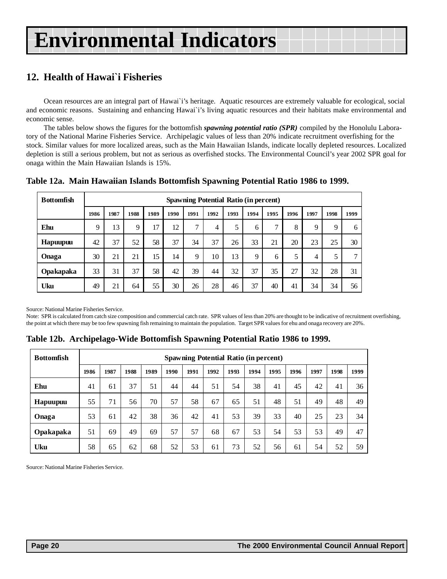### <span id="page-19-0"></span>**12. Health of Hawai`i Fisheries**

Ocean resources are an integral part of Hawai`i's heritage. Aquatic resources are extremely valuable for ecological, social and economic reasons. Sustaining and enhancing Hawai`i's living aquatic resources and their habitats make environmental and economic sense.

The tables below shows the figures for the bottomfish *spawning potential ratio (SPR)* compiled by the Honolulu Laboratory of the National Marine Fisheries Service. Archipelagic values of less than 20% indicate recruitment overfishing for the stock. Similar values for more localized areas, such as the Main Hawaiian Islands, indicate locally depleted resources. Localized depletion is still a serious problem, but not as serious as overfished stocks. The Environmental Council's year 2002 SPR goal for onaga within the Main Hawaiian Islands is 15%.

|  |  |  | Table 12a. Main Hawaiian Islands Bottomfish Spawning Potential Ratio 1986 to 1999. |
|--|--|--|------------------------------------------------------------------------------------|
|--|--|--|------------------------------------------------------------------------------------|

| <b>Bottomfish</b> |      | <b>Spawning Potential Ratio (in percent)</b> |      |      |      |      |      |      |      |              |      |      |      |               |
|-------------------|------|----------------------------------------------|------|------|------|------|------|------|------|--------------|------|------|------|---------------|
|                   | 1986 | 1987                                         | 1988 | 1989 | 1990 | 1991 | 1992 | 1993 | 1994 | 1995         | 1996 | 1997 | 1998 | 1999          |
| Ehu               | 9    | 13                                           | 9    | 17   | 12   | ⇁    | 4    | 5    | 6    | $\mathbf{r}$ | 8    | 9    | 9    | 6             |
| Hapuupuu          | 42   | 37                                           | 52   | 58   | 37   | 34   | 37   | 26   | 33   | 21           | 20   | 23   | 25   | 30            |
| Onaga             | 30   | 21                                           | 21   | 15   | 14   | 9    | 10   | 13   | 9    | 6            | 5    | 4    | 5    | $\mathcal{L}$ |
| <b>Opakapaka</b>  | 33   | 31                                           | 37   | 58   | 42   | 39   | 44   | 32   | 37   | 35           | 27   | 32   | 28   | 31            |
| Uku               | 49   | 21                                           | 64   | 55   | 30   | 26   | 28   | 46   | 37   | 40           | 41   | 34   | 34   | 56            |

Source: National Marine Fisheries Service.

Note: SPR is calculated from catch size composition and commercial catch rate. SPR values of less than 20% are thought to be indicative of recruitment overfishing, the point at which there may be too few spawning fish remaining to maintain the population. Target SPR values for ehu and onaga recovery are 20%.

**Table 12b. Archipelago-Wide Bottomfish Spawning Potential Ratio 1986 to 1999.**

| <b>Bottomfish</b> |      | <b>Spawning Potential Ratio (in percent)</b> |      |      |      |      |      |      |      |      |      |      |      |      |
|-------------------|------|----------------------------------------------|------|------|------|------|------|------|------|------|------|------|------|------|
|                   | 1986 | 1987                                         | 1988 | 1989 | 1990 | 1991 | 1992 | 1993 | 1994 | 1995 | 1996 | 1997 | 1998 | 1999 |
| Ehu               | 41   | 61                                           | 37   | 51   | 44   | 44   | 51   | 54   | 38   | 41   | 45   | 42   | 41   | 36   |
| Hapuupuu          | 55   | 71                                           | 56   | 70   | 57   | 58   | 67   | 65   | 51   | 48   | 51   | 49   | 48   | 49   |
| Onaga             | 53   | 61                                           | 42   | 38   | 36   | 42   | 41   | 53   | 39   | 33   | 40   | 25   | 23   | 34   |
| Opakapaka         | 51   | 69                                           | 49   | 69   | 57   | 57   | 68   | 67   | 53   | 54   | 53   | 53   | 49   | 47   |
| Uku               | 58   | 65                                           | 62   | 68   | 52   | 53   | 61   | 73   | 52   | 56   | 61   | 54   | 52   | 59   |

Source: National Marine Fisheries Service.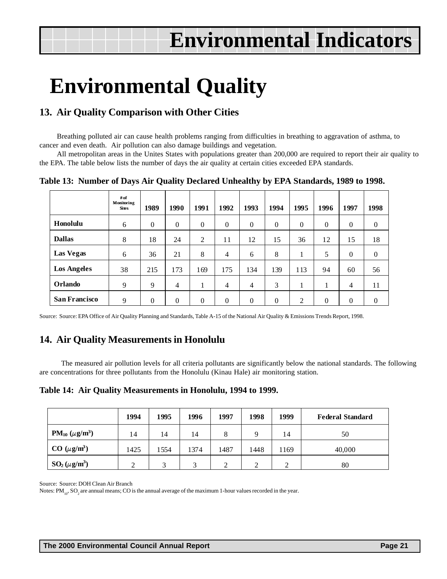# <span id="page-20-0"></span>**Environmental Quality**

### **13. Air Quality Comparison with Other Cities**

Breathing polluted air can cause health problems ranging from difficulties in breathing to aggravation of asthma, to cancer and even death. Air pollution can also damage buildings and vegetation.

All metropolitan areas in the Unites States with populations greater than 200,000 are required to report their air quality to the EPA. The table below lists the number of days the air quality at certain cities exceeded EPA standards.

**Table 13: Number of Days Air Quality Declared Unhealthy by EPA Standards, 1989 to 1998.**

|                      | $#$ of<br>Monitoring<br><b>Sites</b> | 1989     | 1990           | 1991         | 1992           | 1993           | 1994         | 1995           | 1996     | 1997           | 1998             |
|----------------------|--------------------------------------|----------|----------------|--------------|----------------|----------------|--------------|----------------|----------|----------------|------------------|
| Honolulu             | 6                                    | $\Omega$ | $\mathbf{0}$   | $\mathbf{0}$ | $\mathbf{0}$   | $\Omega$       | $\mathbf{0}$ | $\overline{0}$ | $\theta$ | $\Omega$       | $\boldsymbol{0}$ |
| <b>Dallas</b>        | 8                                    | 18       | 24             | 2            | 11             | 12             | 15           | 36             | 12       | 15             | 18               |
| <b>Las Vegas</b>     | 6                                    | 36       | 21             | 8            | $\overline{4}$ | 6              | 8            |                | 5        | $\Omega$       | $\overline{0}$   |
| <b>Los Angeles</b>   | 38                                   | 215      | 173            | 169          | 175            | 134            | 139          | 113            | 94       | 60             | 56               |
| <b>Orlando</b>       | 9                                    | 9        | $\overline{4}$ |              | $\overline{4}$ | $\overline{4}$ | 3            |                | л.       | $\overline{4}$ | 11               |
| <b>San Francisco</b> | 9                                    | $\theta$ | $\Omega$       | $\theta$     | $\theta$       | $\Omega$       | $\Omega$     | 2              | $\theta$ | $\Omega$       | $\overline{0}$   |

Source: Source: EPA Office of Air Quality Planning and Standards, Table A-15 of the National Air Quality & Emissions Trends Report, 1998.

### **14. Air Quality Measurements in Honolulu**

 The measured air pollution levels for all criteria pollutants are significantly below the national standards. The following are concentrations for three pollutants from the Honolulu (Kinau Hale) air monitoring station.

**Table 14: Air Quality Measurements in Honolulu, 1994 to 1999.**

|                       | 1994 | 1995         | 1996         | 1997     | 1998 | 1999 | <b>Federal Standard</b> |
|-----------------------|------|--------------|--------------|----------|------|------|-------------------------|
| $PM_{10} (\mu g/m^3)$ | 14   | 14           | 14           | 8        | Q    | 14   | 50                      |
| $CO \ (\mu g/m^3)$    | 1425 | 1554         | 1374         | 1487     | 1448 | 1169 | 40,000                  |
| $SO_2(\mu g/m^3)$     | ◠    | $\mathbf{R}$ | $\mathbf{z}$ | $\gamma$ | 2    | ◠    | 80                      |

Source: Source: DOH Clean Air Branch

Notes:  $PM_{10}$ ,  $SO_2$  are annual means; CO is the annual average of the maximum 1-hour values recorded in the year.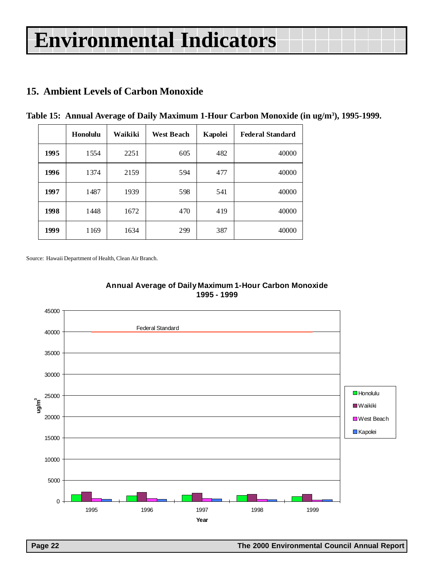# <span id="page-21-0"></span>**15. Ambient Levels of Carbon Monoxide**

|      | Honolulu | Waikiki | <b>West Beach</b> | <b>Kapolei</b> | <b>Federal Standard</b> |
|------|----------|---------|-------------------|----------------|-------------------------|
| 1995 | 1554     | 2251    | 605               | 482            | 40000                   |
| 1996 | 1374     | 2159    | 594               | 477            | 40000                   |
| 1997 | 1487     | 1939    | 598               | 541            | 40000                   |
| 1998 | 1448     | 1672    | 470               | 419            | 40000                   |
| 1999 | 1169     | 1634    | 299               | 387            | 40000                   |

**Table 15: Annual Average of Daily Maximum 1-Hour Carbon Monoxide (in ug/m3 ), 1995-1999.**

Source: Hawaii Department of Health, Clean Air Branch.



#### **Annual Average of Daily Maximum 1-Hour Carbon Monoxide 1995 - 1999**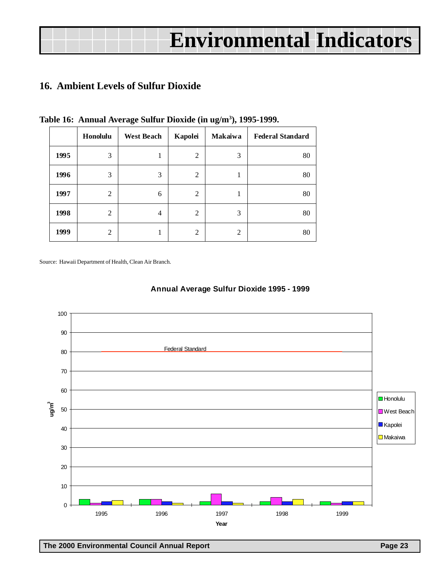# <span id="page-22-0"></span>**16. Ambient Levels of Sulfur Dioxide**

|      | Honolulu | <b>West Beach</b> | Kapolei        | <b>Makaiwa</b> | <b>Federal Standard</b> |
|------|----------|-------------------|----------------|----------------|-------------------------|
| 1995 | 3        | ı                 | $\overline{2}$ | 3              | 80                      |
| 1996 | 3        | 3                 | 2              | ı              | 80                      |
| 1997 | 2        | 6                 | 2              |                | 80                      |
| 1998 | 2        | 4                 | $\overline{c}$ | 3              | 80                      |
| 1999 | 2        |                   | $\mathbf{2}$   | $\overline{2}$ | 80                      |

**Table 16: Annual Average Sulfur Dioxide (in ug/m3 ), 1995-1999.**

Source: Hawaii Department of Health, Clean Air Branch.



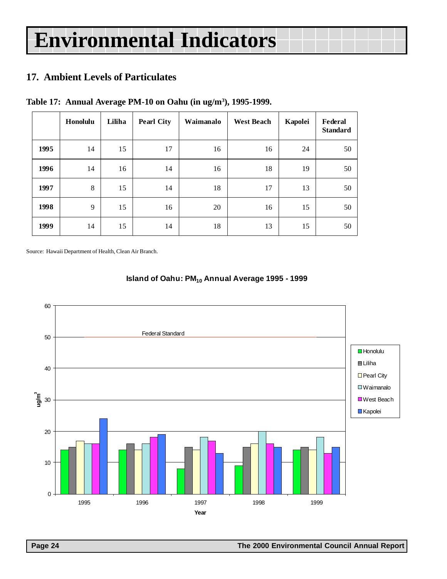# <span id="page-23-0"></span>**17. Ambient Levels of Particulates**

|  | Table 17: Annual Average PM-10 on Oahu (in ug/m <sup>3</sup> ), 1995-1999. |  |  |  |
|--|----------------------------------------------------------------------------|--|--|--|
|  |                                                                            |  |  |  |

|      | Honolulu | Liliha | <b>Pearl City</b> | Waimanalo | <b>West Beach</b> | Kapolei | Federal<br><b>Standard</b> |
|------|----------|--------|-------------------|-----------|-------------------|---------|----------------------------|
| 1995 | 14       | 15     | 17                | 16        | 16                | 24      | 50                         |
| 1996 | 14       | 16     | 14                | 16        | 18                | 19      | 50                         |
| 1997 | 8        | 15     | 14                | 18        | 17                | 13      | 50                         |
| 1998 | 9        | 15     | 16                | 20        | 16                | 15      | 50                         |
| 1999 | 14       | 15     | 14                | 18        | 13                | 15      | 50                         |

Source: Hawaii Department of Health, Clean Air Branch.



### **Island of Oahu: PM<sub>10</sub> Annual Average 1995 - 1999**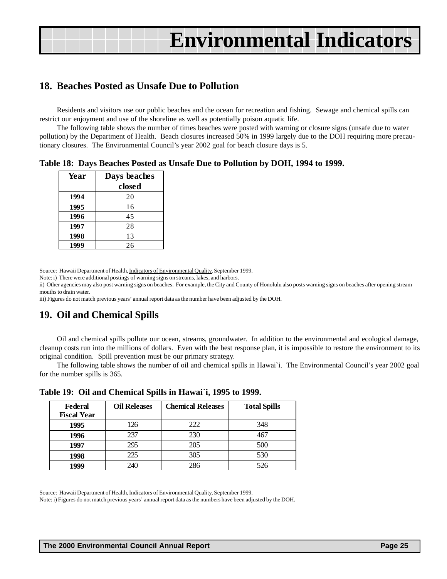### <span id="page-24-0"></span>**18. Beaches Posted as Unsafe Due to Pollution**

Residents and visitors use our public beaches and the ocean for recreation and fishing. Sewage and chemical spills can restrict our enjoyment and use of the shoreline as well as potentially poison aquatic life.

The following table shows the number of times beaches were posted with warning or closure signs (unsafe due to water pollution) by the Department of Health. Beach closures increased 50% in 1999 largely due to the DOH requiring more precautionary closures. The Environmental Council's year 2002 goal for beach closure days is 5.

**Table 18: Days Beaches Posted as Unsafe Due to Pollution by DOH, 1994 to 1999.**

| Year | Days beaches |
|------|--------------|
|      | closed       |
| 1994 | 20           |
| 1995 | 16           |
| 1996 | 45           |
| 1997 | 28           |
| 1998 | 13           |
| 1999 | 26           |

Source: Hawaii Department of Health, Indicators of Environmental Quality, September 1999.

Note: i) There were additional postings of warning signs on streams, lakes, and harbors.

ii) Other agencies may also post warning signs on beaches. For example, the City and County of Honolulu also posts warning signs on beaches after opening stream mouths to drain water.

iii) Figures do not match previous years' annual report data as the number have been adjusted by the DOH.

### **19. Oil and Chemical Spills**

Oil and chemical spills pollute our ocean, streams, groundwater. In addition to the environmental and ecological damage, cleanup costs run into the millions of dollars. Even with the best response plan, it is impossible to restore the environment to its original condition. Spill prevention must be our primary strategy.

The following table shows the number of oil and chemical spills in Hawai`i. The Environmental Council's year 2002 goal for the number spills is 365.

| Federal<br><b>Fiscal Year</b> | <b>Oil Releases</b> | <b>Chemical Releases</b> | <b>Total Spills</b> |
|-------------------------------|---------------------|--------------------------|---------------------|
| 1995                          | 126                 | 222                      | 348                 |
| 1996                          | 237                 | 230                      | 467                 |
| 1997                          | 295                 | 205                      | 500                 |
| 1998                          | 225                 | 305                      | 530                 |
| 1999                          | 240                 | 286                      | 526                 |

**Table 19: Oil and Chemical Spills in Hawai`i, 1995 to 1999.**

Source: Hawaii Department of Health, Indicators of Environmental Quality, September 1999.

Note: i) Figures do not match previous years' annual report data as the numbers have been adjusted by the DOH.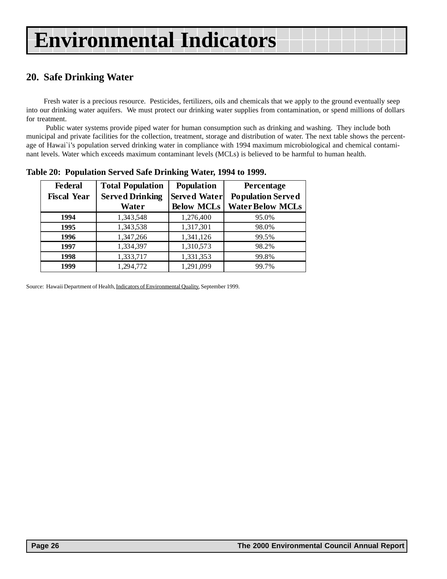# <span id="page-25-0"></span>**20. Safe Drinking Water**

Fresh water is a precious resource. Pesticides, fertilizers, oils and chemicals that we apply to the ground eventually seep into our drinking water aquifers. We must protect our drinking water supplies from contamination, or spend millions of dollars for treatment.

 Public water systems provide piped water for human consumption such as drinking and washing. They include both municipal and private facilities for the collection, treatment, storage and distribution of water. The next table shows the percentage of Hawai`i's population served drinking water in compliance with 1994 maximum microbiological and chemical contaminant levels. Water which exceeds maximum contaminant levels (MCLs) is believed to be harmful to human health.

| <b>Federal</b><br><b>Fiscal Year</b> | <b>Total Population</b><br><b>Served Drinking</b><br>Water | <b>Population</b><br><b>Served Water</b><br><b>Below MCLs</b> | Percentage<br><b>Population Served</b><br><b>Water Below MCLs</b> |
|--------------------------------------|------------------------------------------------------------|---------------------------------------------------------------|-------------------------------------------------------------------|
| 1994                                 | 1,343,548                                                  | 1,276,400                                                     | 95.0%                                                             |
| 1995                                 | 1,343,538                                                  | 1,317,301                                                     | 98.0%                                                             |
| 1996                                 | 1,347,266                                                  | 1,341,126                                                     | 99.5%                                                             |
| 1997                                 | 1,334,397                                                  | 1,310,573                                                     | 98.2%                                                             |
| 1998                                 | 1,333,717                                                  | 1,331,353                                                     | 99.8%                                                             |
| 1999                                 | 1,294,772                                                  | 1,291,099                                                     | 99.7%                                                             |

**Table 20: Population Served Safe Drinking Water, 1994 to 1999.**

Source: Hawaii Department of Health, Indicators of Environmental Quality, September 1999.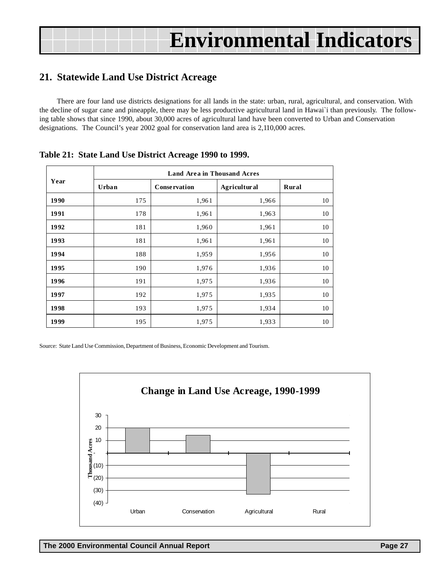### <span id="page-26-0"></span>**21. Statewide Land Use District Acreage**

There are four land use districts designations for all lands in the state: urban, rural, agricultural, and conservation. With the decline of sugar cane and pineapple, there may be less productive agricultural land in Hawai`i than previously. The following table shows that since 1990, about 30,000 acres of agricultural land have been converted to Urban and Conservation designations. The Council's year 2002 goal for conservation land area is 2,110,000 acres.

|      | <b>Land Area in Thousand Acres</b>                            |                     |                     |       |  |  |  |  |  |  |
|------|---------------------------------------------------------------|---------------------|---------------------|-------|--|--|--|--|--|--|
| Year | Urban<br>175<br>178<br>181<br>181<br>188<br>190<br>191<br>192 | <b>Conservation</b> | <b>Agricultural</b> | Rural |  |  |  |  |  |  |
| 1990 |                                                               | 1,961               | 1,966               | 10    |  |  |  |  |  |  |
| 1991 |                                                               | 1,961               | 1,963               | 10    |  |  |  |  |  |  |
| 1992 |                                                               | 1,960               | 1,961               | 10    |  |  |  |  |  |  |
| 1993 |                                                               | 1,961               | 1,961               | 10    |  |  |  |  |  |  |
| 1994 |                                                               | 1,959               | 1,956               | 10    |  |  |  |  |  |  |
| 1995 |                                                               | 1,976               | 1,936               | 10    |  |  |  |  |  |  |
| 1996 |                                                               | 1,975               | 1,936               | 10    |  |  |  |  |  |  |
| 1997 |                                                               | 1,975               | 1,935               | 10    |  |  |  |  |  |  |
| 1998 | 193                                                           | 1,975               | 1,934               | 10    |  |  |  |  |  |  |
| 1999 | 195                                                           | 1,975               | 1,933               | 10    |  |  |  |  |  |  |

#### **Table 21: State Land Use District Acreage 1990 to 1999.**

Source: State Land Use Commission, Department of Business, Economic Development and Tourism.

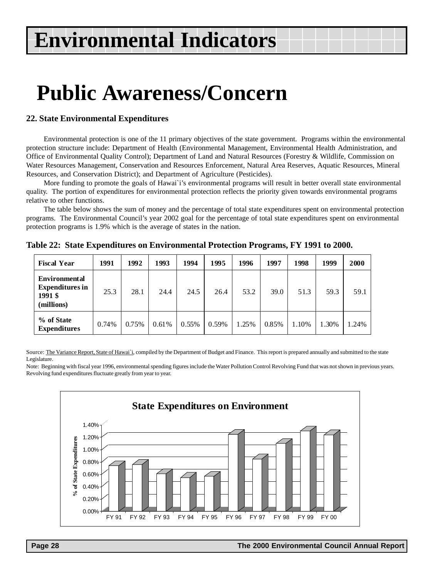# **Public Awareness/Concern**

#### **22. State Environmental Expenditures**

Environmental protection is one of the 11 primary objectives of the state government. Programs within the environmental protection structure include: Department of Health (Environmental Management, Environmental Health Administration, and Office of Environmental Quality Control); Department of Land and Natural Resources (Forestry & Wildlife, Commission on Water Resources Management, Conservation and Resources Enforcement, Natural Area Reserves, Aquatic Resources, Mineral Resources, and Conservation District); and Department of Agriculture (Pesticides).

More funding to promote the goals of Hawai`i's environmental programs will result in better overall state environmental quality. The portion of expenditures for environmental protection reflects the priority given towards environmental programs relative to other functions.

The table below shows the sum of money and the percentage of total state expenditures spent on environmental protection programs. The Environmental Council's year 2002 goal for the percentage of total state expenditures spent on environmental protection programs is 1.9% which is the average of states in the nation.

| <b>Fiscal Year</b>                                                      | 1991  | 1992  | 1993  | 1994     | 1995  | 1996    | 1997  | 1998  | 1999  | 2000  |
|-------------------------------------------------------------------------|-------|-------|-------|----------|-------|---------|-------|-------|-------|-------|
| <b>Environmental</b><br><b>Expenditures</b> in<br>1991 \$<br>(millions) | 25.3  | 28.1  | 24.4  | 24.5     | 26.4  | 53.2    | 39.0  | 51.3  | 59.3  | 59.1  |
| % of State<br><b>Expenditures</b>                                       | 0.74% | 0.75% | 0.61% | $0.55\%$ | 0.59% | $.25\%$ | 0.85% | 1.10% | 1.30% | 1.24% |

**Table 22: State Expenditures on Environmental Protection Programs, FY 1991 to 2000.**

Source: The Variance Report, State of Hawai'i, compiled by the Department of Budget and Finance. This report is prepared annually and submitted to the state Legislature.

Note: Beginning with fiscal year 1996, environmental spending figures include the Water Pollution Control Revolving Fund that was not shown in previous years. Revolving fund expenditures fluctuate greatly from year to year.

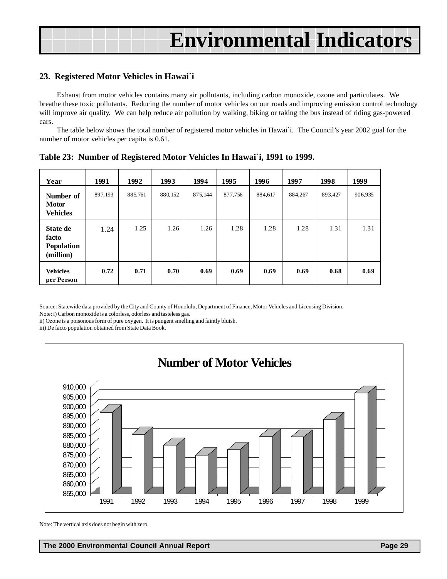#### **23. Registered Motor Vehicles in Hawai`i**

Exhaust from motor vehicles contains many air pollutants, including carbon monoxide, ozone and particulates. We breathe these toxic pollutants. Reducing the number of motor vehicles on our roads and improving emission control technology will improve air quality. We can help reduce air pollution by walking, biking or taking the bus instead of riding gas-powered cars.

The table below shows the total number of registered motor vehicles in Hawai`i. The Council's year 2002 goal for the number of motor vehicles per capita is 0.61.

| Year                                         | 1991    | 1992    | 1993     | 1994    | 1995    | 1996    | 1997    | 1998    | 1999    |
|----------------------------------------------|---------|---------|----------|---------|---------|---------|---------|---------|---------|
| Number of<br><b>Motor</b><br><b>Vehicles</b> | 897,193 | 885,761 | 880, 152 | 875,144 | 877,756 | 884,617 | 884,267 | 893,427 | 906,935 |
| State de<br>facto<br>Population<br>(million) | 1.24    | 1.25    | 1.26     | 1.26    | 1.28    | 1.28    | 1.28    | 1.31    | 1.31    |
| <b>Vehicles</b><br>per Person                | 0.72    | 0.71    | 0.70     | 0.69    | 0.69    | 0.69    | 0.69    | 0.68    | 0.69    |

**Table 23: Number of Registered Motor Vehicles In Hawai`i, 1991 to 1999.**

Source: Statewide data provided by the City and County of Honolulu, Department of Finance, Motor Vehicles and Licensing Division. Note: i) Carbon monoxide is a colorless, odorless and tasteless gas.

ii) Ozone is a poisonous form of pure oxygen. It is pungent smelling and faintly bluish.

iii) De facto population obtained from State Data Book.



Note: The vertical axis does not begin with zero.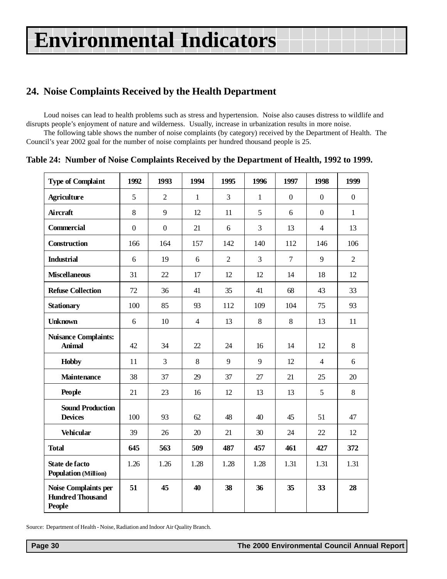# <span id="page-29-0"></span>**24. Noise Complaints Received by the Health Department**

Loud noises can lead to health problems such as stress and hypertension. Noise also causes distress to wildlife and disrupts people's enjoyment of nature and wilderness. Usually, increase in urbanization results in more noise.

The following table shows the number of noise complaints (by category) received by the Department of Health. The Council's year 2002 goal for the number of noise complaints per hundred thousand people is 25.

| <b>Type of Complaint</b>                                                | 1992             | 1993             | 1994           | 1995           | 1996           | 1997             | 1998           | 1999             |
|-------------------------------------------------------------------------|------------------|------------------|----------------|----------------|----------------|------------------|----------------|------------------|
| <b>Agriculture</b>                                                      | 5                | $\overline{2}$   | $\mathbf{1}$   | $\overline{3}$ | $\mathbf{1}$   | $\boldsymbol{0}$ | $\overline{0}$ | $\boldsymbol{0}$ |
| <b>Aircraft</b>                                                         | 8                | 9                | 12             | 11             | 5              | 6                | $\theta$       | $\mathbf{1}$     |
| <b>Commercial</b>                                                       | $\boldsymbol{0}$ | $\boldsymbol{0}$ | 21             | 6              | 3              | 13               | $\overline{4}$ | 13               |
| Construction                                                            | 166              | 164              | 157            | 142            | 140            | 112              | 146            | 106              |
| <b>Industrial</b>                                                       | 6                | 19               | 6              | $\overline{2}$ | $\overline{3}$ | $\overline{7}$   | 9              | $\overline{2}$   |
| <b>Miscellaneous</b>                                                    | 31               | 22               | 17             | 12             | 12             | 14               | 18             | 12               |
| <b>Refuse Collection</b>                                                | 72               | 36               | 41             | 35             | 41             | 68               | 43             | 33               |
| <b>Stationary</b>                                                       | 100              | 85               | 93             | 112            | 109            | 104              | 75             | 93               |
| <b>Unknown</b>                                                          | 6                | 10               | $\overline{4}$ | 13             | 8              | 8                | 13             | 11               |
| <b>Nuisance Complaints:</b><br><b>Animal</b>                            | 42               | 34               | 22             | 24             | 16             | 14               | 12             | 8                |
| <b>Hobby</b>                                                            | 11               | 3                | $\,8\,$        | 9              | 9              | 12               | $\overline{4}$ | 6                |
| <b>Maintenance</b>                                                      | 38               | 37               | 29             | 37             | 27             | 21               | 25             | 20               |
| People                                                                  | 21               | 23               | 16             | 12             | 13             | 13               | 5              | 8                |
| <b>Sound Production</b><br><b>Devices</b>                               | 100              | 93               | 62             | 48             | 40             | 45               | 51             | 47               |
| <b>Vehicular</b>                                                        | 39               | 26               | 20             | 21             | 30             | 24               | 22             | 12               |
| <b>Total</b>                                                            | 645              | 563              | 509            | 487            | 457            | 461              | 427            | 372              |
| <b>State de facto</b><br><b>Population (Million)</b>                    | 1.26             | 1.26             | 1.28           | 1.28           | 1.28           | 1.31             | 1.31           | 1.31             |
| <b>Noise Complaints per</b><br><b>Hundred Thousand</b><br><b>People</b> | 51               | 45               | 40             | 38             | 36             | 35               | 33             | 28               |

**Table 24: Number of Noise Complaints Received by the Department of Health, 1992 to 1999.**

Source: Department of Health - Noise, Radiation and Indoor Air Quality Branch.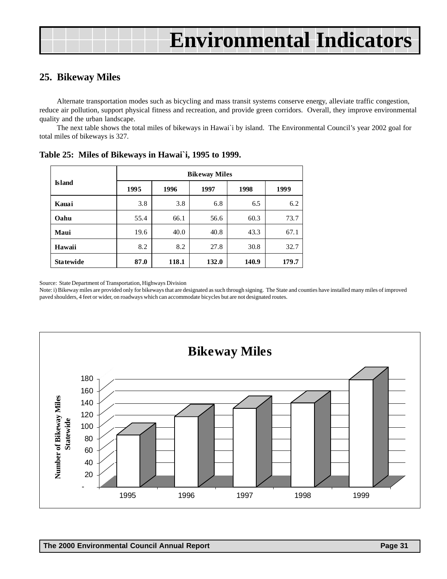### <span id="page-30-0"></span>**25. Bikeway Miles**

Alternate transportation modes such as bicycling and mass transit systems conserve energy, alleviate traffic congestion, reduce air pollution, support physical fitness and recreation, and provide green corridors. Overall, they improve environmental quality and the urban landscape.

The next table shows the total miles of bikeways in Hawai`i by island. The Environmental Council's year 2002 goal for total miles of bikeways is 327.

|                  | <b>Bikeway Miles</b> |       |       |       |       |  |  |  |  |
|------------------|----------------------|-------|-------|-------|-------|--|--|--|--|
| <b>Island</b>    | 1995                 | 1996  | 1997  | 1998  | 1999  |  |  |  |  |
| Kauai            | 3.8                  | 3.8   | 6.8   | 6.5   | 6.2   |  |  |  |  |
| Oahu             | 55.4                 | 66.1  | 56.6  | 60.3  | 73.7  |  |  |  |  |
| Maui             | 19.6                 | 40.0  | 40.8  | 43.3  | 67.1  |  |  |  |  |
| Hawaii           | 8.2                  | 8.2   | 27.8  | 30.8  | 32.7  |  |  |  |  |
| <b>Statewide</b> | 87.0                 | 118.1 | 132.0 | 140.9 | 179.7 |  |  |  |  |

**Table 25: Miles of Bikeways in Hawai`i, 1995 to 1999.**

Source: State Department of Transportation, Highways Division

Note: i) Bikeway miles are provided only for bikeways that are designated as such through signing. The State and counties have installed many miles of improved paved shoulders, 4 feet or wider, on roadways which can accommodate bicycles but are not designated routes.

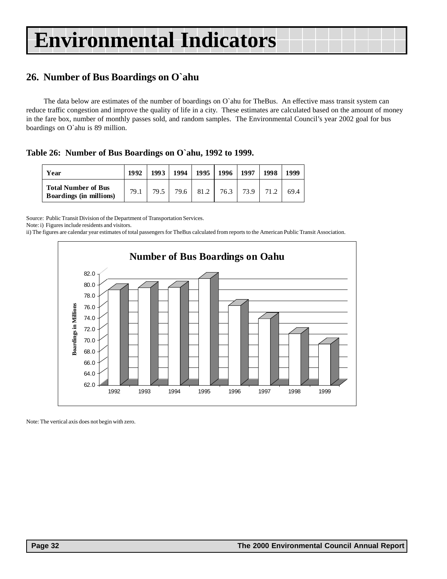### <span id="page-31-0"></span>**26. Number of Bus Boardings on O`ahu**

The data below are estimates of the number of boardings on O`ahu for TheBus. An effective mass transit system can reduce traffic congestion and improve the quality of life in a city. These estimates are calculated based on the amount of money in the fare box, number of monthly passes sold, and random samples. The Environmental Council's year 2002 goal for bus boardings on O`ahu is 89 million.

**Table 26: Number of Bus Boardings on O`ahu, 1992 to 1999.**

| Year                                                         | 1992 | 1993 |        | 1994   1995   1996   1997 |      | 1998 | 1999 |
|--------------------------------------------------------------|------|------|--------|---------------------------|------|------|------|
| <b>Total Number of Bus</b><br><b>Boardings (in millions)</b> | 79.1 | 79.5 | 79.6 l | 81.2 76.3                 | 73.9 | 71.2 | 69.4 |

Source: Public Transit Division of the Department of Transportation Services.

Note: i) Figures include residents and visitors.

ii) The figures are calendar year estimates of total passengers for TheBus calculated from reports to the American Public Transit Association.



Note: The vertical axis does not begin with zero.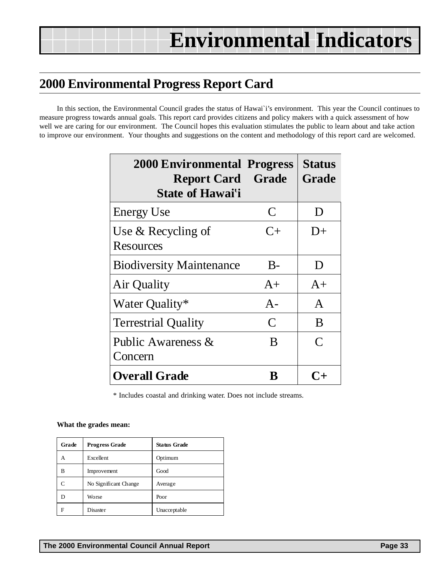# <span id="page-32-0"></span>**2000 Environmental Progress Report Card**

In this section, the Environmental Council grades the status of Hawai`i's environment. This year the Council continues to measure progress towards annual goals. This report card provides citizens and policy makers with a quick assessment of how well we are caring for our environment. The Council hopes this evaluation stimulates the public to learn about and take action to improve our environment. Your thoughts and suggestions on the content and methodology of this report card are welcomed.

| <b>2000 Environmental Progress</b><br><b>Report Card Grade</b><br><b>State of Hawai'i</b> |              | <b>Status</b><br><b>Grade</b> |
|-------------------------------------------------------------------------------------------|--------------|-------------------------------|
| <b>Energy Use</b>                                                                         | C            | $\mathsf{D}$                  |
| Use $&$ Recycling of<br>Resources                                                         | $C+$         | $D+$                          |
| <b>Biodiversity Maintenance</b>                                                           | $B-$         | D                             |
| Air Quality                                                                               | $A+$         | $A+$                          |
| Water Quality*                                                                            | $A -$        | A                             |
| <b>Terrestrial Quality</b>                                                                | $\mathsf{C}$ | B                             |
| Public Awareness &<br>Concern                                                             | B            | $\subset$                     |
| <b>Overall Grade</b>                                                                      |              |                               |

\* Includes coastal and drinking water. Does not include streams.

#### **What the grades mean:**

| Grade | <b>Progress Grade</b> | <b>Status Grade</b> |
|-------|-----------------------|---------------------|
| А     | Excellent             | Optimum             |
| B     | Improvement           | Good                |
|       | No Significant Change | Average             |
|       | Worse                 | Poor                |
| F     | Disaster              | Unacceptable        |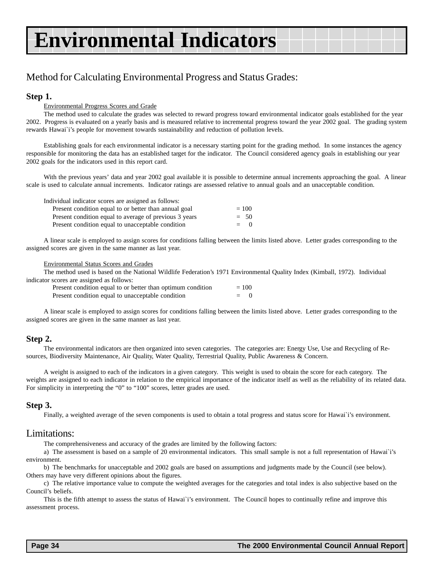# Method for Calculating Environmental Progress and Status Grades:

#### **Step 1.**

#### Environmental Progress Scores and Grade

The method used to calculate the grades was selected to reward progress toward environmental indicator goals established for the year 2002. Progress is evaluated on a yearly basis and is measured relative to incremental progress toward the year 2002 goal. The grading system rewards Hawai`i's people for movement towards sustainability and reduction of pollution levels.

Establishing goals for each environmental indicator is a necessary starting point for the grading method. In some instances the agency responsible for monitoring the data has an established target for the indicator. The Council considered agency goals in establishing our year 2002 goals for the indicators used in this report card.

With the previous years' data and year 2002 goal available it is possible to determine annual increments approaching the goal. A linear scale is used to calculate annual increments. Indicator ratings are assessed relative to annual goals and an unacceptable condition.

| Individual indicator scores are assigned as follows:   |         |
|--------------------------------------------------------|---------|
| Present condition equal to or better than annual goal  | $= 100$ |
| Present condition equal to average of previous 3 years | $= 50$  |
| Present condition equal to unacceptable condition      | $=$ 0   |

A linear scale is employed to assign scores for conditions falling between the limits listed above. Letter grades corresponding to the assigned scores are given in the same manner as last year.

#### Environmental Status Scores and Grades

The method used is based on the National Wildlife Federation's 1971 Environmental Quality Index (Kimball, 1972). Individual indicator scores are assigned as follows:

| Present condition equal to or better than optimum condition | $= 100$ |  |
|-------------------------------------------------------------|---------|--|
| Present condition equal to unacceptable condition           | $=$     |  |

A linear scale is employed to assign scores for conditions falling between the limits listed above. Letter grades corresponding to the assigned scores are given in the same manner as last year.

#### **Step 2.**

The environmental indicators are then organized into seven categories. The categories are: Energy Use, Use and Recycling of Resources, Biodiversity Maintenance, Air Quality, Water Quality, Terrestrial Quality, Public Awareness & Concern.

A weight is assigned to each of the indicators in a given category. This weight is used to obtain the score for each category. The weights are assigned to each indicator in relation to the empirical importance of the indicator itself as well as the reliability of its related data. For simplicity in interpreting the "0" to "100" scores, letter grades are used.

#### **Step 3.**

Finally, a weighted average of the seven components is used to obtain a total progress and status score for Hawai`i's environment.

#### Limitations:

The comprehensiveness and accuracy of the grades are limited by the following factors:

a) The assessment is based on a sample of 20 environmental indicators. This small sample is not a full representation of Hawai`i's environment.

b) The benchmarks for unacceptable and 2002 goals are based on assumptions and judgments made by the Council (see below). Others may have very different opinions about the figures.

c) The relative importance value to compute the weighted averages for the categories and total index is also subjective based on the Council's beliefs.

This is the fifth attempt to assess the status of Hawai`i's environment. The Council hopes to continually refine and improve this assessment process.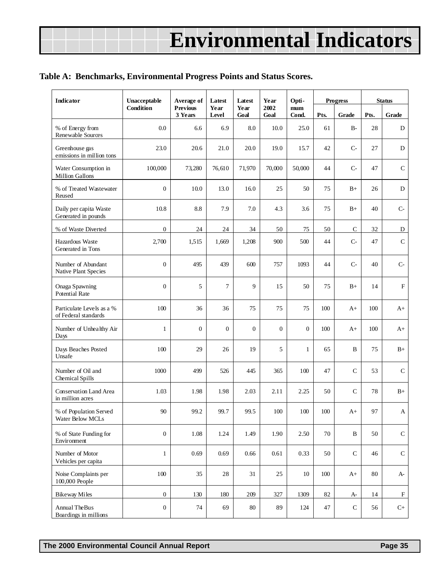#### **Table A: Benchmarks, Environmental Progress Points and Status Scores.**

| <b>Indicator</b>                                  | Unacceptable     | Average of                 | Latest               | Latest       | Year           | Opti-        |      | <b>Progress</b> | <b>Status</b> |              |
|---------------------------------------------------|------------------|----------------------------|----------------------|--------------|----------------|--------------|------|-----------------|---------------|--------------|
|                                                   | <b>Condition</b> | <b>Previous</b><br>3 Years | Year<br><b>Level</b> | Year<br>Goal | 2002<br>Goal   | mum<br>Cond. | Pts. | Grade           | Pts.          | Grade        |
| % of Energy from<br>Renewable Sources             | 0.0              | 6.6                        | 6.9                  | 8.0          | 10.0           | 25.0         | 61   | $B-$            | 28            | D            |
| Greenhouse gas<br>emissions in million tons       | 23.0             | 20.6                       | 21.0                 | 20.0         | 19.0           | 15.7         | 42   | $C-$            | 27            | ${\rm D}$    |
| Water Consumption in<br>Million Gallons           | 100,000          | 73,280                     | 76,610               | 71,970       | 70,000         | 50,000       | 44   | $C -$           | 47            | ${\bf C}$    |
| % of Treated Wastewater<br>Reused                 | $\mathbf{0}$     | 10.0                       | 13.0                 | 16.0         | 25             | 50           | 75   | $B+$            | 26            | D            |
| Daily per capita Waste<br>Generated in pounds     | 10.8             | 8.8                        | 7.9                  | 7.0          | 4.3            | 3.6          | 75   | $B+$            | 40            | $C-$         |
| % of Waste Diverted                               | $\mathbf{0}$     | 24                         | 24                   | 34           | 50             | 75           | 50   | $\mathsf{C}$    | 32            | D            |
| Hazardous Waste<br>Generated in Tons              | 2,700            | 1,515                      | 1,669                | 1,208        | 900            | 500          | 44   | $C-$            | 47            | ${\bf C}$    |
| Number of Abundant<br>Native Plant Species        | $\mathbf{0}$     | 495                        | 439                  | 600          | 757            | 1093         | 44   | $C-$            | 40            | $C-$         |
| Onaga Spawning<br><b>Potential Rate</b>           | $\mathbf{0}$     | 5                          | $\overline{7}$       | 9            | 15             | 50           | 75   | $B+$            | 14            | $\rm F$      |
| Particulate Levels as a %<br>of Federal standards | 100              | 36                         | 36                   | 75           | 75             | 75           | 100  | $A+$            | 100           | $A+$         |
| Number of Unhealthy Air<br>Days                   | $\mathbf{1}$     | $\overline{0}$             | $\overline{0}$       | $\mathbf{0}$ | $\overline{0}$ | $\Omega$     | 100  | $A+$            | 100           | A+           |
| Days Beaches Posted<br>Unsafe                     | 100              | 29                         | 26                   | 19           | 5              | $\mathbf{1}$ | 65   | B               | 75            | $B+$         |
| Number of Oil and<br><b>Chemical Spills</b>       | 1000             | 499                        | 526                  | 445          | 365            | 100          | 47   | $\mathbf C$     | 53            | $\mathsf{C}$ |
| Conservation Land Area<br>in million acres        | 1.03             | 1.98                       | 1.98                 | 2.03         | 2.11           | 2.25         | 50   | $\mathcal{C}$   | 78            | $B+$         |
| % of Population Served<br>Water Below MCLs        | 90               | 99.2                       | 99.7                 | 99.5         | 100            | 100          | 100  | $A+$            | 97            | A            |
| % of State Funding for<br>Environment             | $\mathbf{0}$     | 1.08                       | 1.24                 | 1.49         | 1.90           | 2.50         | 70   | B               | 50            | ${\bf C}$    |
| Number of Motor<br>Vehicles per capita            | $\mathbf{1}$     | 0.69                       | 0.69                 | 0.66         | 0.61           | 0.33         | 50   | $\mathbf C$     | 46            | ${\bf C}$    |
| Noise Complaints per<br>100,000 People            | 100              | 35                         | 28                   | 31           | 25             | 10           | 100  | $A+$            | 80            | A-           |
| <b>Bikeway Miles</b>                              | $\mathbf{0}$     | 130                        | 180                  | 209          | 327            | 1309         | 82   | A-              | 14            | $_{\rm F}$   |
| Annual TheBus<br>Boardings in millions            | $\boldsymbol{0}$ | 74                         | 69                   | 80           | 89             | 124          | 47   | $\mathbf C$     | 56            | $C+$         |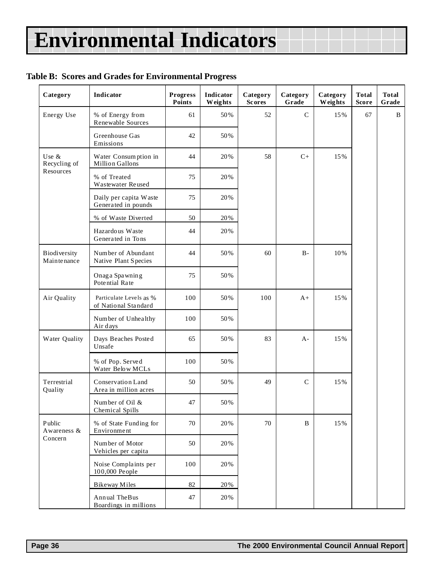### **Table B: Scores and Grades for Environmental Progress**

| Category                    | Indicator                                       | <b>Progress</b><br>Points | Indicator<br>Weights | Category<br><b>Scores</b> | Category<br>Grade | Category<br>Weights | <b>Total</b><br><b>Score</b> | <b>Total</b><br>Grade |
|-----------------------------|-------------------------------------------------|---------------------------|----------------------|---------------------------|-------------------|---------------------|------------------------------|-----------------------|
| Energy Use                  | % of Energy from<br>Renewable Sources           | 61                        | 50%                  | 52                        | $\mathsf{C}$      | 15%                 | 67                           | B                     |
|                             | Greenhouse Gas<br>Emissions                     | 42                        | 50%                  |                           |                   |                     |                              |                       |
| Use $\&$<br>Recycling of    | Water Consumption in<br>Million Gallons         | 44                        | 20%                  | 58                        | $C+$              | 15%                 |                              |                       |
| Resources                   | % of Treated<br>Wastewater Reused               | 75                        | 20%                  |                           |                   |                     |                              |                       |
|                             | Daily per capita Waste<br>Generated in pounds   | 75                        | 20%                  |                           |                   |                     |                              |                       |
|                             | % of Waste Diverted                             | 50                        | 20%                  |                           |                   |                     |                              |                       |
|                             | Hazardous Waste<br>Generated in Tons            | 44                        | 20%                  |                           |                   |                     |                              |                       |
| Biodiversity<br>Maintenance | Number of Abundant<br>Native Plant Species      | 44                        | 50%                  | 60                        | $B -$             | 10%                 |                              |                       |
|                             | Onaga Spawning<br>Potential Rate                | 75                        | 50%                  |                           |                   |                     |                              |                       |
| Air Quality                 | Particulate Levels as %<br>of National Standard | 100                       | 50%                  | 100                       | $A+$              | 15%                 |                              |                       |
|                             | Number of Unhealthy<br>Air days                 | 100                       | 50%                  |                           |                   |                     |                              |                       |
| Water Quality               | Days Beaches Posted<br>Unsafe                   | 65                        | 50%                  | 83                        | $A -$             | 15%                 |                              |                       |
|                             | % of Pop. Served<br>Water Below MCLs            | 100                       | 50%                  |                           |                   |                     |                              |                       |
| Terrestrial<br>Quality      | Conservation Land<br>Area in million acres      | 50                        | 50%                  | 49                        | $\mathbf C$       | 15%                 |                              |                       |
|                             | Number of Oil &<br><b>Chemical Spills</b>       | 47                        | 50%                  |                           |                   |                     |                              |                       |
| Public<br>Awareness &       | % of State Funding for<br>Environment           | 70                        | 20%                  | 70                        | $\, {\bf B}$      | 15%                 |                              |                       |
| Concern                     | Number of Motor<br>Vehicles per capita          | 50                        | 20%                  |                           |                   |                     |                              |                       |
|                             | Noise Complaints per<br>100,000 People          | 100                       | 20%                  |                           |                   |                     |                              |                       |
|                             | <b>Bikeway Miles</b>                            | 82                        | 20%                  |                           |                   |                     |                              |                       |
|                             | Annual TheBus<br>Boardings in millions          | 47                        | 20%                  |                           |                   |                     |                              |                       |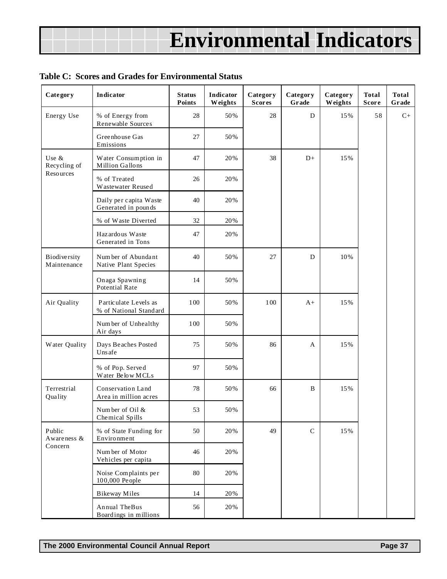#### **Table C: Scores and Grades for Environmental Status**

| Category                    | Indicator                                       | <b>Status</b><br>Points | <b>Indicator</b><br>Weights | Category<br><b>Scores</b> | Category<br>Grade | Category<br>Weights | <b>Total</b><br><b>Score</b> | <b>Total</b><br>Grade |
|-----------------------------|-------------------------------------------------|-------------------------|-----------------------------|---------------------------|-------------------|---------------------|------------------------------|-----------------------|
| Energy Use                  | % of Energy from<br>Renewable Sources           | 28                      | 50%                         | 28                        | D                 | 15%                 | 58                           | $C+$                  |
|                             | Greenhouse Gas<br>Emissions                     | 27                      | 50%                         |                           |                   |                     |                              |                       |
| Use &<br>Recycling of       | Water Consumption in<br>Million Gallons         | 47                      | 20%                         | 38                        | $D+$              | 15%                 |                              |                       |
| Resources                   | % of Treated<br>Wastewater Reused               | 26                      | 20%                         |                           |                   |                     |                              |                       |
|                             | Daily per capita Waste<br>Generated in pounds   | 40                      | 20%                         |                           |                   |                     |                              |                       |
|                             | % of Waste Diverted                             | 32                      | 20%                         |                           |                   |                     |                              |                       |
|                             | Hazardous Waste<br>Generated in Tons            | 47                      | 20%                         |                           |                   |                     |                              |                       |
| Biodiversity<br>Maintenance | Number of Abundant<br>Native Plant Species      | 40                      | 50%                         | 27                        | D                 | 10%                 |                              |                       |
|                             | Onaga Spawning<br><b>Potential Rate</b>         | 14                      | 50%                         |                           |                   |                     |                              |                       |
| Air Quality                 | Particulate Levels as<br>% of National Standard | 100                     | 50%                         | 100                       | $A+$              | 15%                 |                              |                       |
|                             | Number of Unhealthy<br>Air days                 | 100                     | 50%                         |                           |                   |                     |                              |                       |
| Water Quality               | Days Beaches Posted<br>Unsafe                   | 75                      | 50%                         | 86                        | A                 | 15%                 |                              |                       |
|                             | % of Pop. Served<br>Water Below MCLs            | 97                      | 50%                         |                           |                   |                     |                              |                       |
| Terrestrial<br>Quality      | Conservation Land<br>Area in million acres      | 78                      | 50%                         | 66                        | $\, {\bf B}$      | 15%                 |                              |                       |
|                             | Number of Oil &<br>Chemical Spills              | 53                      | 50%                         |                           |                   |                     |                              |                       |
| Public<br>Awareness &       | % of State Funding for<br>Environment           | 50                      | 20%                         | 49                        | ${\bf C}$         | 15%                 |                              |                       |
| Concern                     | Number of Motor<br>Vehicles per capita          | 46                      | 20%                         |                           |                   |                     |                              |                       |
|                             | Noise Complaints per<br>100,000 People          | 80                      | 20%                         |                           |                   |                     |                              |                       |
|                             | <b>Bikeway Miles</b>                            | 14                      | 20%                         |                           |                   |                     |                              |                       |
|                             | Annual TheBus<br>Boardings in millions          | 56                      | 20%                         |                           |                   |                     |                              |                       |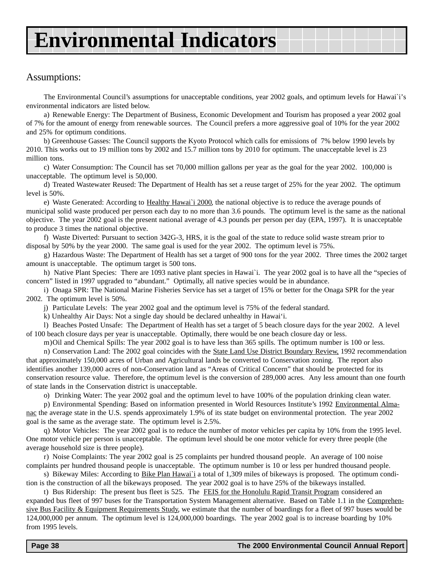### Assumptions:

The Environmental Council's assumptions for unacceptable conditions, year 2002 goals, and optimum levels for Hawai`i's environmental indicators are listed below.

a) Renewable Energy: The Department of Business, Economic Development and Tourism has proposed a year 2002 goal of 7% for the amount of energy from renewable sources. The Council prefers a more aggressive goal of 10% for the year 2002 and 25% for optimum conditions.

b) Greenhouse Gasses: The Council supports the Kyoto Protocol which calls for emissions of 7% below 1990 levels by 2010. This works out to 19 million tons by 2002 and 15.7 million tons by 2010 for optimum. The unacceptable level is 23 million tons.

c) Water Consumption: The Council has set 70,000 million gallons per year as the goal for the year 2002. 100,000 is unacceptable. The optimum level is 50,000.

d) Treated Wastewater Reused: The Department of Health has set a reuse target of 25% for the year 2002. The optimum level is 50%.

e) Waste Generated: According to Healthy Hawai`i 2000, the national objective is to reduce the average pounds of municipal solid waste produced per person each day to no more than 3.6 pounds. The optimum level is the same as the national objective. The year 2002 goal is the present national average of 4.3 pounds per person per day (EPA, 1997). It is unacceptable to produce 3 times the national objective.

f) Waste Diverted: Pursuant to section 342G-3, HRS, it is the goal of the state to reduce solid waste stream prior to disposal by 50% by the year 2000. The same goal is used for the year 2002. The optimum level is 75%.

g) Hazardous Waste: The Department of Health has set a target of 900 tons for the year 2002. Three times the 2002 target amount is unacceptable. The optimum target is 500 tons.

h) Native Plant Species: There are 1093 native plant species in Hawai`i. The year 2002 goal is to have all the "species of concern" listed in 1997 upgraded to "abundant." Optimally, all native species would be in abundance.

i) Onaga SPR: The National Marine Fisheries Service has set a target of 15% or better for the Onaga SPR for the year 2002. The optimum level is 50%.

j) Particulate Levels: The year 2002 goal and the optimum level is 75% of the federal standard.

k) Unhealthy Air Days: Not a single day should be declared unhealthy in Hawai'i.

l) Beaches Posted Unsafe: The Department of Health has set a target of 5 beach closure days for the year 2002. A level of 100 beach closure days per year is unacceptable. Optimally, there would be one beach closure day or less.

m)Oil and Chemical Spills: The year 2002 goal is to have less than 365 spills. The optimum number is 100 or less.

n) Conservation Land: The 2002 goal coincides with the State Land Use District Boundary Review, 1992 recommendation that approximately 150,000 acres of Urban and Agricultural lands be converted to Conservation zoning. The report also identifies another 139,000 acres of non-Conservation land as "Areas of Critical Concern" that should be protected for its conservation resource value. Therefore, the optimum level is the conversion of 289,000 acres. Any less amount than one fourth of state lands in the Conservation district is unacceptable.

o) Drinking Water: The year 2002 goal and the optimum level to have 100% of the population drinking clean water.

p) Environmental Spending: Based on information presented in World Resources Institute's 1992 Environmental Almanac the average state in the U.S. spends approximately 1.9% of its state budget on environmental protection. The year 2002 goal is the same as the average state. The optimum level is 2.5%.

q) Motor Vehicles: The year 2002 goal is to reduce the number of motor vehicles per capita by 10% from the 1995 level. One motor vehicle per person is unacceptable. The optimum level should be one motor vehicle for every three people (the average household size is three people).

r) Noise Complaints: The year 2002 goal is 25 complaints per hundred thousand people. An average of 100 noise complaints per hundred thousand people is unacceptable. The optimum number is 10 or less per hundred thousand people.

s) Bikeway Miles: According to Bike Plan Hawai`i a total of 1,309 miles of bikeways is proposed. The optimum condition is the construction of all the bikeways proposed. The year 2002 goal is to have 25% of the bikeways installed.

t) Bus Ridership: The present bus fleet is 525. The FEIS for the Honolulu Rapid Transit Program considered an expanded bus fleet of 997 buses for the Transportation System Management alternative. Based on Table 1.1 in the Comprehensive Bus Facility & Equipment Requirements Study, we estimate that the number of boardings for a fleet of 997 buses would be 124,000,000 per annum. The optimum level is 124,000,000 boardings. The year 2002 goal is to increase boarding by 10% from 1995 levels.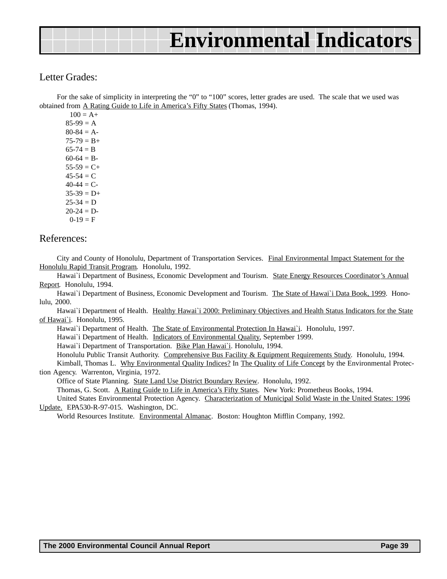### Letter Grades:

For the sake of simplicity in interpreting the "0" to "100" scores, letter grades are used. The scale that we used was obtained from A Rating Guide to Life in America's Fifty States (Thomas, 1994).

 $100 = A +$  $85-99 = A$  $80-84 = A$  $75-79 = B+$  $65-74 = B$  $60-64 = B$  $55-59 = C+$  $45-54 = C$  $40-44 = C$  $35-39 = D+$  $25-34 = D$  $20-24 = D$  $0-19 = F$ 

#### References:

City and County of Honolulu, Department of Transportation Services. Final Environmental Impact Statement for the Honolulu Rapid Transit Program. Honolulu, 1992.

Hawai`i Department of Business, Economic Development and Tourism. State Energy Resources Coordinator's Annual Report. Honolulu, 1994.

Hawai`i Department of Business, Economic Development and Tourism. The State of Hawai`i Data Book, 1999. Honolulu, 2000.

Hawai'i Department of Health. Healthy Hawai'i 2000: Preliminary Objectives and Health Status Indicators for the State of Hawai`i. Honolulu, 1995.

Hawai`i Department of Health. The State of Environmental Protection In Hawai`i. Honolulu, 1997.

Hawai`i Department of Health. Indicators of Environmental Quality, September 1999.

Hawai`i Department of Transportation. Bike Plan Hawai`i. Honolulu, 1994.

Honolulu Public Transit Authority. Comprehensive Bus Facility & Equipment Requirements Study. Honolulu, 1994.

Kimball, Thomas L. Why Environmental Quality Indices? In The Quality of Life Concept by the Environmental Protection Agency. Warrenton, Virginia, 1972.

Office of State Planning. State Land Use District Boundary Review. Honolulu, 1992.

Thomas, G. Scott. A Rating Guide to Life in America's Fifty States. New York: Prometheus Books, 1994.

United States Environmental Protection Agency. Characterization of Municipal Solid Waste in the United States: 1996 Update. EPA530-R-97-015. Washington, DC.

World Resources Institute. Environmental Almanac. Boston: Houghton Mifflin Company, 1992.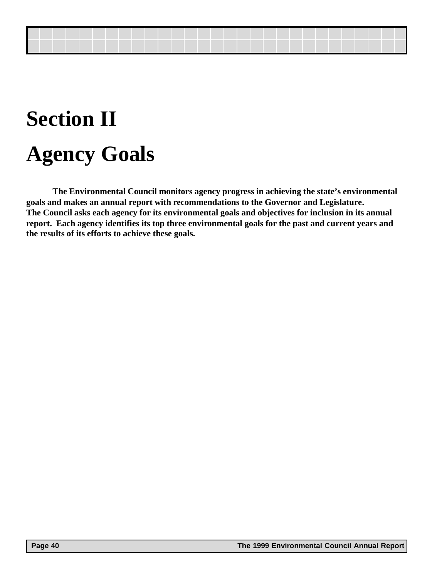# **Section II Agency Goals**

**The Environmental Council monitors agency progress in achieving the state's environmental goals and makes an annual report with recommendations to the Governor and Legislature. The Council asks each agency for its environmental goals and objectives for inclusion in its annual report. Each agency identifies its top three environmental goals for the past and current years and the results of its efforts to achieve these goals.**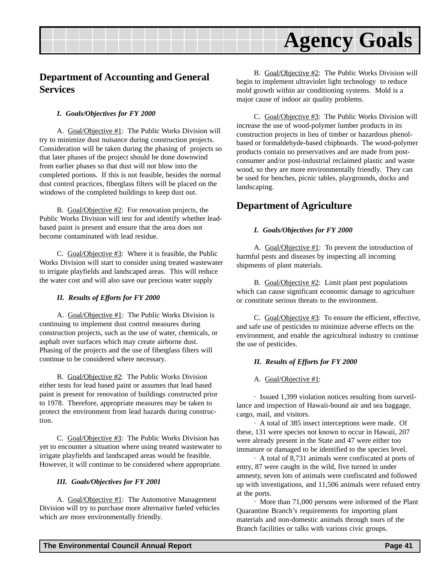### <span id="page-40-0"></span>**Department of Accounting and General Services**

#### *I. Goals/Objectives for FY 2000*

A. Goal/Objective #1: The Public Works Division will try to minimize dust nuisance during construction projects. Consideration will be taken during the phasing of projects so that later phases of the project should be done downwind from earlier phases so that dust will not blow into the completed portions. If this is not feasible, besides the normal dust control practices, fiberglass filters will be placed on the windows of the completed buildings to keep dust out.

B. Goal/Objective #2: For renovation projects, the Public Works Division will test for and identify whether leadbased paint is present and ensure that the area does not become contaminated with lead residue.

C. Goal/Objective  $#3$ : Where it is feasible, the Public Works Division will start to consider using treated wastewater to irrigate playfields and landscaped areas. This will reduce the water cost and will also save our precious water supply

#### *II. Results of Efforts for FY 2000*

A. Goal/Objective #1: The Public Works Division is continuing to implement dust control measures during construction projects, such as the use of water, chemicals, or asphalt over surfaces which may create airborne dust. Phasing of the projects and the use of fiberglass filters will continue to be considered where necessary.

B. Goal/Objective #2: The Public Works Division either tests for lead based paint or assumes that lead based paint is present for renovation of buildings constructed prior to 1978. Therefore, appropriate measures may be taken to protect the environment from lead hazards during construction.

C. Goal/Objective #3: The Public Works Division has yet to encounter a situation where using treated wastewater to irrigate playfields and landscaped areas would be feasible. However, it will continue to be considered where appropriate.

#### *III. Goals/Objectives for FY 2001*

A. Goal/Objective #1: The Automotive Management Division will try to purchase more alternative fueled vehicles which are more environmentally friendly.

B. Goal/Objective #2: The Public Works Division will begin to implement ultraviolet light technology to reduce mold growth within air conditioning systems. Mold is a major cause of indoor air quality problems.

C. Goal/Objective #3: The Public Works Division will increase the use of wood-polymer lumber products in its construction projects in lieu of timber or hazardous phenolbased or formaldehyde-based chipboards. The wood-polymer products contain no preservatives and are made from postconsumer and/or post-industrial reclaimed plastic and waste wood, so they are more environmentally friendly. They can be used for benches, picnic tables, playgrounds, docks and landscaping.

### **Department of Agriculture**

#### *I. Goals/Objectives for FY 2000*

A. Goal/Objective #1: To prevent the introduction of harmful pests and diseases by inspecting all incoming shipments of plant materials.

B. Goal/Objective #2: Limit plant pest populations which can cause significant economic damage to agriculture or constitute serious threats to the environment.

C.  $Goal/Objective #3$ : To ensure the efficient, effective, and safe use of pesticides to minimize adverse effects on the environment, and enable the agricultural industry to continue the use of pesticides.

#### *II. Results of Efforts for FY 2000*

A. Goal/Objective #1:

· Issued 1,399 violation notices resulting from surveillance and inspection of Hawaii-bound air and sea baggage, cargo, mail, and visitors.

· A total of 385 insect interceptions were made. Of these, 131 were species not known to occur in Hawaii, 207 were already present in the State and 47 were either too immature or damaged to be identified to the species level.

· A total of 8,731 animals were confiscated at ports of entry, 87 were caught in the wild, five turned in under amnesty, seven lots of animals were confiscated and followed up with investigations, and 11,506 animals were refused entry at the ports.

· More than 71,000 persons were informed of the Plant Quarantine Branch's requirements for importing plant materials and non-domestic animals through tours of the Branch facilities or talks with various civic groups.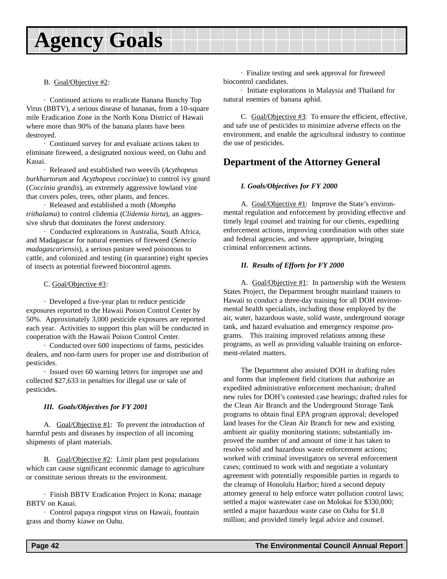#### <span id="page-41-0"></span>B. Goal/Objective #2:

· Continued actions to eradicate Banana Bunchy Top Virus (BBTV), a serious disease of bananas, from a 10-square mile Eradication Zone in the North Kona District of Hawaii where more than 90% of the banana plants have been destroyed.

· Continued survey for and evaluate actions taken to eliminate fireweed, a designated noxious weed, on Oahu and Kauai.

· Released and established two weevils (*Acythopeus burkhartorum* and *Acythopeus cocciniae*) to control ivy gourd (*Coccinia grandis*), an extremely aggressive lowland vine that covers poles, trees, other plants, and fences.

· Released and established a moth (*Mompha trithalama*) to control clidemia (*Clidemia hirta*), an aggressive shrub that dominates the forest understory.

· Conducted explorations in Australia, South Africa, and Madagascar for natural enemies of fireweed (*Senecio madagascariensis*), a serious pasture weed poisonous to cattle, and colonized and testing (in quarantine) eight species of insects as potential fireweed biocontrol agents.

#### C. Goal/Objective #3:

· Developed a five-year plan to reduce pesticide exposures reported to the Hawaii Poison Control Center by 50%. Approximately 3,000 pesticide exposures are reported each year. Activities to support this plan will be conducted in cooperation with the Hawaii Poison Control Center.

· Conducted over 600 inspections of farms, pesticides dealers, and non-farm users for proper use and distribution of pesticides.

· Issued over 60 warning letters for improper use and collected \$27,633 in penalties for illegal use or sale of pesticides.

#### *III. Goals/Objectives for FY 2001*

A. Goal/Objective #1: To prevent the introduction of harmful pests and diseases by inspection of all incoming shipments of plant materials.

B. Goal/Objective #2: Limit plant pest populations which can cause significant economic damage to agriculture or constitute serious threats to the environment.

· Finish BBTV Eradication Project in Kona; manage BBTV on Kauai.

· Control papaya ringspot virus on Hawaii, fountain grass and thorny kiawe on Oahu.

· Finalize testing and seek approval for fireweed biocontrol candidates.

· Initiate explorations in Malaysia and Thailand for natural enemies of banana aphid.

C. Goal/Objective  $#3$ : To ensure the efficient, effective, and safe use of pesticides to minimize adverse effects on the environment, and enable the agricultural industry to continue the use of pesticides.

### **Department of the Attorney General**

#### *I. Goals/Objectives for FY 2000*

A. Goal/Objective #1: Improve the State's environmental regulation and enforcement by providing effective and timely legal counsel and training for our clients, expediting enforcement actions, improving coordination with other state and federal agencies, and where appropriate, bringing criminal enforcement actions.

#### *II. Results of Efforts for FY 2000*

A. Goal/Objective #1: In partnership with the Western States Project, the Department brought mainland trainers to Hawaii to conduct a three-day training for all DOH environmental health specialists, including those employed by the air, water, hazardous waste, solid waste, underground storage tank, and hazard evaluation and emergency response programs. This training improved relations among these programs, as well as providing valuable training on enforcement-related matters.

The Department also assisted DOH in drafting rules and forms that implement field citations that authorize an expedited administrative enforcement mechanism; drafted new rules for DOH's contested case hearings; drafted rules for the Clean Air Branch and the Underground Storage Tank programs to obtain final EPA program approval; developed land leases for the Clean Air Branch for new and existing ambient air quality monitoring stations; substantially improved the number of and amount of time it has taken to resolve solid and hazardous waste enforcement actions; worked with criminal investigators on several enforcement cases; continued to work with and negotiate a voluntary agreement with potentially responsible parties in regards to the cleanup of Honolulu Harbor; hired a second deputy attorney general to help enforce water pollution control laws; settled a major wastewater case on Molokai for \$330,000; settled a major hazardous waste case on Oahu for \$1.8 million; and provided timely legal advice and counsel.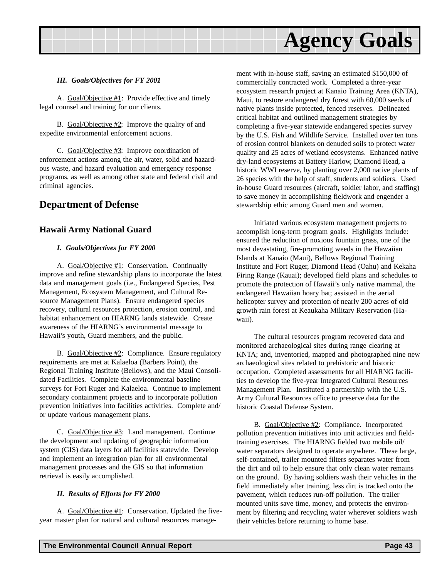#### <span id="page-42-0"></span>*III. Goals/Objectives for FY 2001*

A. Goal/Objective #1: Provide effective and timely legal counsel and training for our clients.

B. Goal/Objective #2: Improve the quality of and expedite environmental enforcement actions.

C. Goal/Objective #3: Improve coordination of enforcement actions among the air, water, solid and hazardous waste, and hazard evaluation and emergency response programs, as well as among other state and federal civil and criminal agencies.

### **Department of Defense**

#### **Hawaii Army National Guard**

#### *I. Goals/Objectives for FY 2000*

A. Goal/Objective #1: Conservation. Continually improve and refine stewardship plans to incorporate the latest data and management goals (i.e., Endangered Species, Pest Management, Ecosystem Management, and Cultural Resource Management Plans). Ensure endangered species recovery, cultural resources protection, erosion control, and habitat enhancement on HIARNG lands statewide. Create awareness of the HIARNG's environmental message to Hawaii's youth, Guard members, and the public.

B. Goal/Objective #2: Compliance. Ensure regulatory requirements are met at Kalaeloa (Barbers Point), the Regional Training Institute (Bellows), and the Maui Consolidated Facilities. Complete the environmental baseline surveys for Fort Ruger and Kalaeloa. Continue to implement secondary containment projects and to incorporate pollution prevention initiatives into facilities activities. Complete and/ or update various management plans.

C. Goal/Objective #3: Land management. Continue the development and updating of geographic information system (GIS) data layers for all facilities statewide. Develop and implement an integration plan for all environmental management processes and the GIS so that information retrieval is easily accomplished.

#### *II. Results of Efforts for FY 2000*

A. Goal/Objective #1: Conservation. Updated the fiveyear master plan for natural and cultural resources management with in-house staff, saving an estimated \$150,000 of commercially contracted work. Completed a three-year ecosystem research project at Kanaio Training Area (KNTA), Maui, to restore endangered dry forest with 60,000 seeds of native plants inside protected, fenced reserves. Delineated critical habitat and outlined management strategies by completing a five-year statewide endangered species survey by the U.S. Fish and Wildlife Service. Installed over ten tons of erosion control blankets on denuded soils to protect water quality and 25 acres of wetland ecosystems. Enhanced native dry-land ecosystems at Battery Harlow, Diamond Head, a historic WWI reserve, by planting over 2,000 native plants of 26 species with the help of staff, students and soldiers. Used in-house Guard resources (aircraft, soldier labor, and staffing) to save money in accomplishing fieldwork and engender a stewardship ethic among Guard men and women.

Initiated various ecosystem management projects to accomplish long-term program goals. Highlights include: ensured the reduction of noxious fountain grass, one of the most devastating, fire-promoting weeds in the Hawaiian Islands at Kanaio (Maui), Bellows Regional Training Institute and Fort Ruger, Diamond Head (Oahu) and Kekaha Firing Range (Kauai); developed field plans and schedules to promote the protection of Hawaii's only native mammal, the endangered Hawaiian hoary bat; assisted in the aerial helicopter survey and protection of nearly 200 acres of old growth rain forest at Keaukaha Military Reservation (Hawaii).

The cultural resources program recovered data and monitored archaeological sites during range clearing at KNTA; and, inventoried, mapped and photographed nine new archaeological sites related to prehistoric and historic occupation. Completed assessments for all HIARNG facilities to develop the five-year Integrated Cultural Resources Management Plan. Instituted a partnership with the U.S. Army Cultural Resources office to preserve data for the historic Coastal Defense System.

B. Goal/Objective #2: Compliance. Incorporated pollution prevention initiatives into unit activities and fieldtraining exercises. The HIARNG fielded two mobile oil/ water separators designed to operate anywhere. These large, self-contained, trailer mounted filters separates water from the dirt and oil to help ensure that only clean water remains on the ground. By having soldiers wash their vehicles in the field immediately after training, less dirt is tracked onto the pavement, which reduces run-off pollution. The trailer mounted units save time, money, and protects the environment by filtering and recycling water wherever soldiers wash their vehicles before returning to home base.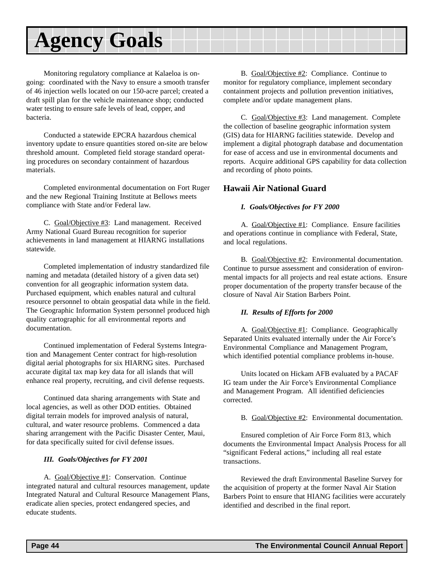Monitoring regulatory compliance at Kalaeloa is ongoing: coordinated with the Navy to ensure a smooth transfer of 46 injection wells located on our 150-acre parcel; created a draft spill plan for the vehicle maintenance shop; conducted water testing to ensure safe levels of lead, copper, and bacteria.

Conducted a statewide EPCRA hazardous chemical inventory update to ensure quantities stored on-site are below threshold amount. Completed field storage standard operating procedures on secondary containment of hazardous materials.

Completed environmental documentation on Fort Ruger and the new Regional Training Institute at Bellows meets compliance with State and/or Federal law.

C. Goal/Objective #3: Land management. Received Army National Guard Bureau recognition for superior achievements in land management at HIARNG installations statewide.

Completed implementation of industry standardized file naming and metadata (detailed history of a given data set) convention for all geographic information system data. Purchased equipment, which enables natural and cultural resource personnel to obtain geospatial data while in the field. The Geographic Information System personnel produced high quality cartographic for all environmental reports and documentation.

Continued implementation of Federal Systems Integration and Management Center contract for high-resolution digital aerial photographs for six HIARNG sites. Purchased accurate digital tax map key data for all islands that will enhance real property, recruiting, and civil defense requests.

Continued data sharing arrangements with State and local agencies, as well as other DOD entities. Obtained digital terrain models for improved analysis of natural, cultural, and water resource problems. Commenced a data sharing arrangement with the Pacific Disaster Center, Maui, for data specifically suited for civil defense issues.

#### *III. Goals/Objectives for FY 2001*

A. Goal/Objective #1: Conservation. Continue integrated natural and cultural resources management, update Integrated Natural and Cultural Resource Management Plans, eradicate alien species, protect endangered species, and educate students.

B. Goal/Objective #2: Compliance. Continue to monitor for regulatory compliance, implement secondary containment projects and pollution prevention initiatives, complete and/or update management plans.

C. Goal/Objective #3: Land management. Complete the collection of baseline geographic information system (GIS) data for HIARNG facilities statewide. Develop and implement a digital photograph database and documentation for ease of access and use in environmental documents and reports. Acquire additional GPS capability for data collection and recording of photo points.

#### **Hawaii Air National Guard**

#### *I. Goals/Objectives for FY 2000*

A. Goal/Objective #1: Compliance. Ensure facilities and operations continue in compliance with Federal, State, and local regulations.

B. Goal/Objective #2: Environmental documentation. Continue to pursue assessment and consideration of environmental impacts for all projects and real estate actions. Ensure proper documentation of the property transfer because of the closure of Naval Air Station Barbers Point.

#### *II. Results of Efforts for 2000*

A.Goal/Objective #1: Compliance. Geographically Separated Units evaluated internally under the Air Force's Environmental Compliance and Management Program, which identified potential compliance problems in-house.

Units located on Hickam AFB evaluated by a PACAF IG team under the Air Force's Environmental Compliance and Management Program. All identified deficiencies corrected.

B. Goal/Objective #2: Environmental documentation.

Ensured completion of Air Force Form 813, which documents the Environmental Impact Analysis Process for all "significant Federal actions," including all real estate transactions.

Reviewed the draft Environmental Baseline Survey for the acquisition of property at the former Naval Air Station Barbers Point to ensure that HIANG facilities were accurately identified and described in the final report.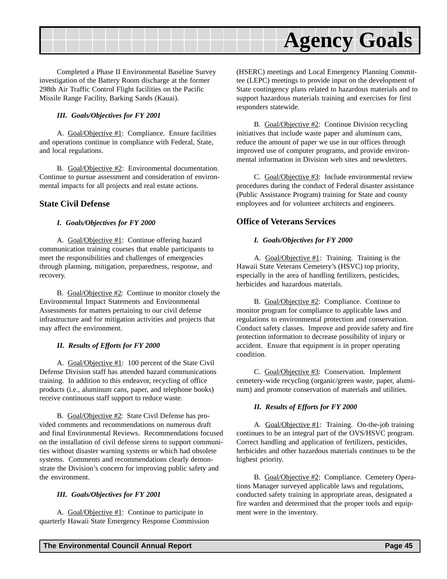

Completed a Phase II Environmental Baseline Survey investigation of the Battery Room discharge at the former 298th Air Traffic Control Flight facilities on the Pacific Missile Range Facility, Barking Sands (Kauai).

#### *III. Goals/Objectives for FY 2001*

A. Goal/Objective #1: Compliance. Ensure facilities and operations continue in compliance with Federal, State, and local regulations.

B. Goal/Objective #2: Environmental documentation. Continue to pursue assessment and consideration of environmental impacts for all projects and real estate actions.

#### **State Civil Defense**

#### *I. Goals/Objectives for FY 2000*

A. Goal/Objective #1: Continue offering hazard communication training courses that enable participants to meet the responsibilities and challenges of emergencies through planning, mitigation, preparedness, response, and recovery.

B. Goal/Objective #2: Continue to monitor closely the Environmental Impact Statements and Environmental Assessments for matters pertaining to our civil defense infrastructure and for mitigation activities and projects that may affect the environment.

#### *II. Results of Efforts for FY 2000*

A. Goal/Objective #1: 100 percent of the State Civil Defense Division staff has attended hazard communications training. In addition to this endeavor, recycling of office products (i.e., aluminum cans, paper, and telephone books) receive continuous staff support to reduce waste.

B. Goal/Objective #2: State Civil Defense has provided comments and recommendations on numerous draft and final Environmental Reviews. Recommendations focused on the installation of civil defense sirens to support communities without disaster warning systems or which had obsolete systems. Comments and recommendations clearly demonstrate the Division's concern for improving public safety and the environment.

#### *III. Goals/Objectives for FY 2001*

A. Goal/Objective #1: Continue to participate in quarterly Hawaii State Emergency Response Commission (HSERC) meetings and Local Emergency Planning Committee (LEPC) meetings to provide input on the development of State contingency plans related to hazardous materials and to support hazardous materials training and exercises for first responders statewide.

B. Goal/Objective #2: Continue Division recycling initiatives that include waste paper and aluminum cans, reduce the amount of paper we use in our offices through improved use of computer programs, and provide environmental information in Division web sites and newsletters.

C. Goal/Objective #3: Include environmental review procedures during the conduct of Federal disaster assistance (Public Assistance Program) training for State and county employees and for volunteer architects and engineers.

#### **Office of Veterans Services**

#### *I. Goals/Objectives for FY 2000*

A. Goal/Objective #1: Training. Training is the Hawaii State Veterans Cemetery's (HSVC) top priority, especially in the area of handling fertilizers, pesticides, herbicides and hazardous materials.

B. Goal/Objective #2: Compliance. Continue to monitor program for compliance to applicable laws and regulations to environmental protection and conservation. Conduct safety classes. Improve and provide safety and fire protection information to decrease possibility of injury or accident. Ensure that equipment is in proper operating condition.

C. Goal/Objective #3: Conservation. Implement cemetery-wide recycling (organic/green waste, paper, aluminum) and promote conservation of materials and utilities.

#### *II. Results of Efforts for FY 2000*

A. Goal/Objective #1: Training. On-the-job training continues to be an integral part of the OVS/HSVC program. Correct handling and application of fertilizers, pesticides, herbicides and other hazardous materials continues to be the highest priority.

B. Goal/Objective #2: Compliance. Cemetery Operations Manager surveyed applicable laws and regulations, conducted safety training in appropriate areas, designated a fire warden and determined that the proper tools and equipment were in the inventory.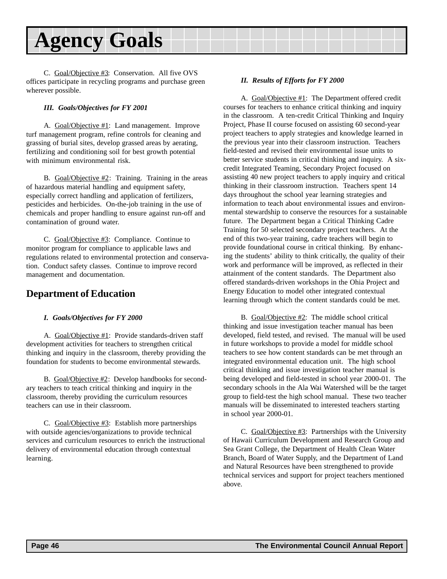<span id="page-45-0"></span>C. Goal/Objective #3: Conservation. All five OVS offices participate in recycling programs and purchase green wherever possible.

#### *III. Goals/Objectives for FY 2001*

A.Goal/Objective #1: Land management. Improve turf management program, refine controls for cleaning and grassing of burial sites, develop grassed areas by aerating, fertilizing and conditioning soil for best growth potential with minimum environmental risk.

B. Goal/Objective #2: Training. Training in the areas of hazardous material handling and equipment safety, especially correct handling and application of fertilizers, pesticides and herbicides. On-the-job training in the use of chemicals and proper handling to ensure against run-off and contamination of ground water.

C. Goal/Objective #3: Compliance. Continue to monitor program for compliance to applicable laws and regulations related to environmental protection and conservation. Conduct safety classes. Continue to improve record management and documentation.

### **Department of Education**

#### *I. Goals/Objectives for FY 2000*

A. Goal/Objective #1: Provide standards-driven staff development activities for teachers to strengthen critical thinking and inquiry in the classroom, thereby providing the foundation for students to become environmental stewards.

B. Goal/Objective #2: Develop handbooks for secondary teachers to teach critical thinking and inquiry in the classroom, thereby providing the curriculum resources teachers can use in their classroom.

C. Goal/Objective #3: Establish more partnerships with outside agencies/organizations to provide technical services and curriculum resources to enrich the instructional delivery of environmental education through contextual learning.

#### *II. Results of Efforts for FY 2000*

A. Goal/Objective #1: The Department offered credit courses for teachers to enhance critical thinking and inquiry in the classroom. A ten-credit Critical Thinking and Inquiry Project, Phase II course focused on assisting 60 second-year project teachers to apply strategies and knowledge learned in the previous year into their classroom instruction. Teachers field-tested and revised their environmental issue units to better service students in critical thinking and inquiry. A sixcredit Integrated Teaming, Secondary Project focused on assisting 40 new project teachers to apply inquiry and critical thinking in their classroom instruction. Teachers spent 14 days throughout the school year learning strategies and information to teach about environmental issues and environmental stewardship to conserve the resources for a sustainable future. The Department began a Critical Thinking Cadre Training for 50 selected secondary project teachers. At the end of this two-year training, cadre teachers will begin to provide foundational course in critical thinking. By enhancing the students' ability to think critically, the quality of their work and performance will be improved, as reflected in their attainment of the content standards. The Department also offered standards-driven workshops in the Ohia Project and Energy Education to model other integrated contextual learning through which the content standards could be met.

B. Goal/Objective #2: The middle school critical thinking and issue investigation teacher manual has been developed, field tested, and revised. The manual will be used in future workshops to provide a model for middle school teachers to see how content standards can be met through an integrated environmental education unit. The high school critical thinking and issue investigation teacher manual is being developed and field-tested in school year 2000-01. The secondary schools in the Ala Wai Watershed will be the target group to field-test the high school manual. These two teacher manuals will be disseminated to interested teachers starting in school year 2000-01.

C. Goal/Objective #3: Partnerships with the University of Hawaii Curriculum Development and Research Group and Sea Grant College, the Department of Health Clean Water Branch, Board of Water Supply, and the Department of Land and Natural Resources have been strengthened to provide technical services and support for project teachers mentioned above.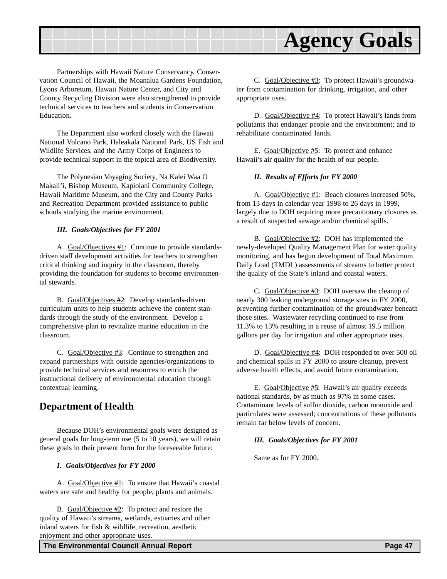<span id="page-46-0"></span>

Partnerships with Hawaii Nature Conservancy, Conservation Council of Hawaii, the Moanalua Gardens Foundation, Lyons Arboretum, Hawaii Nature Center, and City and County Recycling Division were also strengthened to provide technical services to teachers and students in Conservation Education.

The Department also worked closely with the Hawaii National Volcano Park, Haleakala National Park, US Fish and Wildlife Services, and the Army Corps of Engineers to provide technical support in the topical area of Biodiversity.

The Polynesian Voyaging Society, Na Kalei Waa O Makali'i, Bishop Museum, Kapiolani Community College, Hawaii Maritime Museum, and the City and County Parks and Recreation Department provided assistance to public schools studying the marine environment.

#### *III. Goals/Objectives for FY 2001*

A. Goal/Objectives #1: Continue to provide standardsdriven staff development activities for teachers to strengthen critical thinking and inquiry in the classroom, thereby providing the foundation for students to become environmental stewards.

B. Goal/Objectives #2: Develop standards-driven curriculum units to help students achieve the content standards through the study of the environment. Develop a comprehensive plan to revitalize marine education in the classroom.

C. Goal/Objective #3: Continue to strengthen and expand partnerships with outside agencies/organizations to provide technical services and resources to enrich the instructional delivery of environmental education through contextual learning.

### **Department of Health**

Because DOH's environmental goals were designed as general goals for long-term use (5 to 10 years), we will retain these goals in their present form for the foreseeable future:

#### *I. Goals/Objectives for FY 2000*

A. Goal/Objective #1: To ensure that Hawaii's coastal waters are safe and healthy for people, plants and animals.

B. Goal/Objective #2: To protect and restore the quality of Hawaii's streams, wetlands, estuaries and other inland waters for fish & wildlife, recreation, aesthetic enjoyment and other appropriate uses.

C. Goal/Objective #3: To protect Hawaii's groundwater from contamination for drinking, irrigation, and other appropriate uses.

D. Goal/Objective #4: To protect Hawaii's lands from pollutants that endanger people and the environment; and to rehabilitate contaminated lands.

E. Goal/Objective #5: To protect and enhance Hawaii's air quality for the health of our people.

#### *II. Results of Efforts for FY 2000*

A. Goal/Objective #1: Beach closures increased 50%, from 13 days in calendar year 1998 to 26 days in 1999, largely due to DOH requiring more precautionary closures as a result of suspected sewage and/or chemical spills.

B. Goal/Objective #2: DOH has implemented the newly-developed Quality Management Plan for water quality monitoring, and has begun development of Total Maximum Daily Load (TMDL) assessments of streams to better protect the quality of the State's inland and coastal waters.

C. Goal/Objective #3: DOH oversaw the cleanup of nearly 300 leaking underground storage sites in FY 2000, preventing further contamination of the groundwater beneath those sites. Wastewater recycling continued to rise from 11.3% to 13% resulting in a reuse of almost 19.5 million gallons per day for irrigation and other appropriate uses.

D. Goal/Objective #4: DOH responded to over 500 oil and chemical spills in FY 2000 to assure cleanup, prevent adverse health effects, and avoid future contamination.

E. Goal/Objective #5: Hawaii's air quality exceeds national standards, by as much as 97% in some cases. Contaminant levels of sulfur dioxide, carbon monoxide and particulates were assessed; concentrations of these pollutants remain far below levels of concern.

#### *III. Goals/Objectives for FY 2001*

Same as for FY 2000.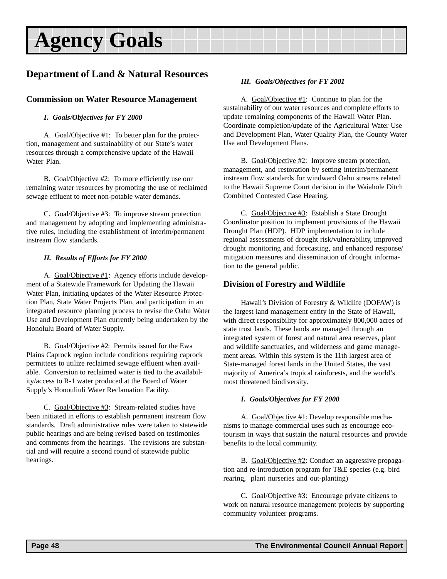### <span id="page-47-0"></span>**Department of Land & Natural Resources**

#### **Commission on Water Resource Management**

#### *I. Goals/Objectives for FY 2000*

A. Goal/Objective #1: To better plan for the protection, management and sustainability of our State's water resources through a comprehensive update of the Hawaii Water Plan.

B. Goal/Objective #2: To more efficiently use our remaining water resources by promoting the use of reclaimed sewage effluent to meet non-potable water demands.

C. Goal/Objective #3: To improve stream protection and management by adopting and implementing administrative rules, including the establishment of interim/permanent instream flow standards.

#### *II. Results of Efforts for FY 2000*

A. Goal/Objective #1: Agency efforts include development of a Statewide Framework for Updating the Hawaii Water Plan, initiating updates of the Water Resource Protection Plan, State Water Projects Plan, and participation in an integrated resource planning process to revise the Oahu Water Use and Development Plan currently being undertaken by the Honolulu Board of Water Supply.

B. Goal/Objective #2: Permits issued for the Ewa Plains Caprock region include conditions requiring caprock permittees to utilize reclaimed sewage effluent when available. Conversion to reclaimed water is tied to the availability/access to R-1 water produced at the Board of Water Supply's Honouliuli Water Reclamation Facility.

C. Goal/Objective #3: Stream-related studies have been initiated in efforts to establish permanent instream flow standards. Draft administrative rules were taken to statewide public hearings and are being revised based on testimonies and comments from the hearings. The revisions are substantial and will require a second round of statewide public hearings.

#### *III. Goals/Objectives for FY 2001*

A. Goal/Objective #1: Continue to plan for the sustainability of our water resources and complete efforts to update remaining components of the Hawaii Water Plan. Coordinate completion/update of the Agricultural Water Use and Development Plan, Water Quality Plan, the County Water Use and Development Plans.

B. Goal/Objective #2: Improve stream protection, management, and restoration by setting interim/permanent instream flow standards for windward Oahu streams related to the Hawaii Supreme Court decision in the Waiahole Ditch Combined Contested Case Hearing.

C. Goal/Objective #3: Establish a State Drought Coordinator position to implement provisions of the Hawaii Drought Plan (HDP). HDP implementation to include regional assessments of drought risk/vulnerability, improved drought monitoring and forecasting, and enhanced response/ mitigation measures and dissemination of drought information to the general public.

#### **Division of Forestry and Wildlife**

Hawaii's Division of Forestry & Wildlife (DOFAW) is the largest land management entity in the State of Hawaii, with direct responsibility for approximately 800,000 acres of state trust lands. These lands are managed through an integrated system of forest and natural area reserves, plant and wildlife sanctuaries, and wilderness and game management areas. Within this system is the 11th largest area of State-managed forest lands in the United States, the vast majority of America's tropical rainforests, and the world's most threatened biodiversity.

#### *I. Goals/Objectives for FY 2000*

A. Goal/Objective #1: Develop responsible mechanisms to manage commercial uses such as encourage ecotourism in ways that sustain the natural resources and provide benefits to the local community.

B. Goal/Objective #2: Conduct an aggressive propagation and re-introduction program for T&E species (e.g. bird rearing, plant nurseries and out-planting)

C. Goal/Objective #3: Encourage private citizens to work on natural resource management projects by supporting community volunteer programs.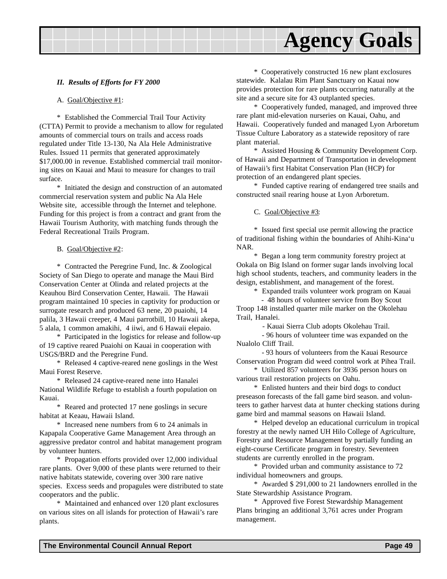#### *II. Results of Efforts for FY 2000*

#### A. Goal/Objective #1:

\* Established the Commercial Trail Tour Activity (CTTA) Permit to provide a mechanism to allow for regulated amounts of commercial tours on trails and access roads regulated under Title 13-130, Na Ala Hele Administrative Rules. Issued 11 permits that generated approximately \$17,000.00 in revenue. Established commercial trail monitoring sites on Kauai and Maui to measure for changes to trail surface.

\* Initiated the design and construction of an automated commercial reservation system and public Na Ala Hele Website site, accessible through the Internet and telephone. Funding for this project is from a contract and grant from the Hawaii Tourism Authority, with matching funds through the Federal Recreational Trails Program.

#### B. Goal/Objective #2:

\* Contracted the Peregrine Fund, Inc. & Zoological Society of San Diego to operate and manage the Maui Bird Conservation Center at Olinda and related projects at the Keauhou Bird Conservation Center, Hawaii. The Hawaii program maintained 10 species in captivity for production or surrogate research and produced 63 nene, 20 puaiohi, 14 palila, 3 Hawaii creeper, 4 Maui parrotbill, 10 Hawaii akepa, 5 alala, 1 common amakihi, 4 iiwi, and 6 Hawaii elepaio.

\* Participated in the logistics for release and follow-up of 19 captive reared Puaiohi on Kauai in cooperation with USGS/BRD and the Peregrine Fund.

\* Released 4 captive-reared nene goslings in the West Maui Forest Reserve.

\* Released 24 captive-reared nene into Hanalei National Wildlife Refuge to establish a fourth population on Kauai.

\* Reared and protected 17 nene goslings in secure habitat at Keaau, Hawaii Island.

\* Increased nene numbers from 6 to 24 animals in Kapapala Cooperative Game Management Area through an aggressive predator control and habitat management program by volunteer hunters.

\* Propagation efforts provided over 12,000 individual rare plants. Over 9,000 of these plants were returned to their native habitats statewide, covering over 300 rare native species. Excess seeds and propagules were distributed to state cooperators and the public.

\* Maintained and enhanced over 120 plant exclosures on various sites on all islands for protection of Hawaii's rare plants.

\* Cooperatively constructed 16 new plant exclosures statewide. Kalalau Rim Plant Sanctuary on Kauai now provides protection for rare plants occurring naturally at the site and a secure site for 43 outplanted species.

\* Cooperatively funded, managed, and improved three rare plant mid-elevation nurseries on Kauai, Oahu, and Hawaii. Cooperatively funded and managed Lyon Arboretum Tissue Culture Laboratory as a statewide repository of rare plant material.

\* Assisted Housing & Community Development Corp. of Hawaii and Department of Transportation in development of Hawaii's first Habitat Conservation Plan (HCP) for protection of an endangered plant species.

\* Funded captive rearing of endangered tree snails and constructed snail rearing house at Lyon Arboretum.

#### C. Goal/Objective #3:

\* Issued first special use permit allowing the practice of traditional fishing within the boundaries of Ahihi-Kina'u NAR.

\* Began a long term community forestry project at Ookala on Big Island on former sugar lands involving local high school students, teachers, and community leaders in the design, establishment, and management of the forest.

\* Expanded trails volunteer work program on Kauai

 - 48 hours of volunteer service from Boy Scout Troop 148 installed quarter mile marker on the Okolehau Trail, Hanalei.

- Kauai Sierra Club adopts Okolehau Trail.

 - 96 hours of volunteer time was expanded on the Nualolo Cliff Trail.

 - 93 hours of volunteers from the Kauai Resource Conservation Program did weed control work at Pihea Trail.

\* Utilized 857 volunteers for 3936 person hours on various trail restoration projects on Oahu.

\* Enlisted hunters and their bird dogs to conduct preseason forecasts of the fall game bird season. and volunteers to gather harvest data at hunter checking stations during game bird and mammal seasons on Hawaii Island.

\* Helped develop an educational curriculum in tropical forestry at the newly named UH Hilo College of Agriculture, Forestry and Resource Management by partially funding an eight-course Certificate program in forestry. Seventeen students are currently enrolled in the program.

\* Provided urban and community assistance to 72 individual homeowners and groups.

\* Awarded \$ 291,000 to 21 landowners enrolled in the State Stewardship Assistance Program.

\* Approved five Forest Stewardship Management Plans bringing an additional 3,761 acres under Program management.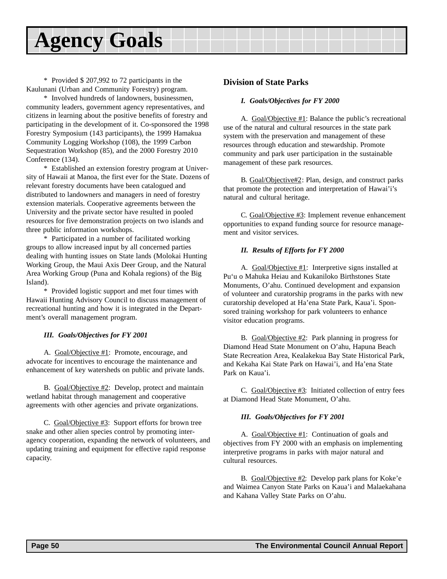\* Provided \$ 207,992 to 72 participants in the Kaulunani (Urban and Community Forestry) program.

\* Involved hundreds of landowners, businessmen, community leaders, government agency representatives, and citizens in learning about the positive benefits of forestry and participating in the development of it. Co-sponsored the 1998 Forestry Symposium (143 participants), the 1999 Hamakua Community Logging Workshop (108), the 1999 Carbon Sequestration Workshop (85), and the 2000 Forestry 2010 Conference (134).

\* Established an extension forestry program at University of Hawaii at Manoa, the first ever for the State. Dozens of relevant forestry documents have been catalogued and distributed to landowners and managers in need of forestry extension materials. Cooperative agreements between the University and the private sector have resulted in pooled resources for five demonstration projects on two islands and three public information workshops.

\* Participated in a number of facilitated working groups to allow increased input by all concerned parties dealing with hunting issues on State lands (Molokai Hunting Working Group, the Maui Axis Deer Group, and the Natural Area Working Group (Puna and Kohala regions) of the Big Island).

\* Provided logistic support and met four times with Hawaii Hunting Advisory Council to discuss management of recreational hunting and how it is integrated in the Department's overall management program.

#### *III. Goals/Objectives for FY 2001*

A. Goal/Objective #1: Promote, encourage, and advocate for incentives to encourage the maintenance and enhancement of key watersheds on public and private lands.

B. Goal/Objective #2: Develop, protect and maintain wetland habitat through management and cooperative agreements with other agencies and private organizations.

C. Goal/Objective #3: Support efforts for brown tree snake and other alien species control by promoting interagency cooperation, expanding the network of volunteers, and updating training and equipment for effective rapid response capacity.

#### **Division of State Parks**

#### *I. Goals/Objectives for FY 2000*

A. Goal/Objective #1: Balance the public's recreational use of the natural and cultural resources in the state park system with the preservation and management of these resources through education and stewardship. Promote community and park user participation in the sustainable management of these park resources.

B. Goal/Objective#2: Plan, design, and construct parks that promote the protection and interpretation of Hawai'i's natural and cultural heritage.

C. Goal/Objective #3: Implement revenue enhancement opportunities to expand funding source for resource management and visitor services.

#### *II. Results of Efforts for FY 2000*

A. Goal/Objective #1: Interpretive signs installed at Pu'u o Mahuka Heiau and Kukaniloko Birthstones State Monuments, O'ahu. Continued development and expansion of volunteer and curatorship programs in the parks with new curatorship developed at Ha'ena State Park, Kaua'i. Sponsored training workshop for park volunteers to enhance visitor education programs.

B. Goal/Objective #2: Park planning in progress for Diamond Head State Monument on O'ahu, Hapuna Beach State Recreation Area, Kealakekua Bay State Historical Park, and Kekaha Kai State Park on Hawai'i, and Ha'ena State Park on Kaua'i.

C. Goal/Objective #3: Initiated collection of entry fees at Diamond Head State Monument, O'ahu.

#### *III. Goals/Objectives for FY 2001*

A. Goal/Objective #1: Continuation of goals and objectives from FY 2000 with an emphasis on implementing interpretive programs in parks with major natural and cultural resources.

B. Goal/Objective #2: Develop park plans for Koke'e and Waimea Canyon State Parks on Kaua'i and Malaekahana and Kahana Valley State Parks on O'ahu.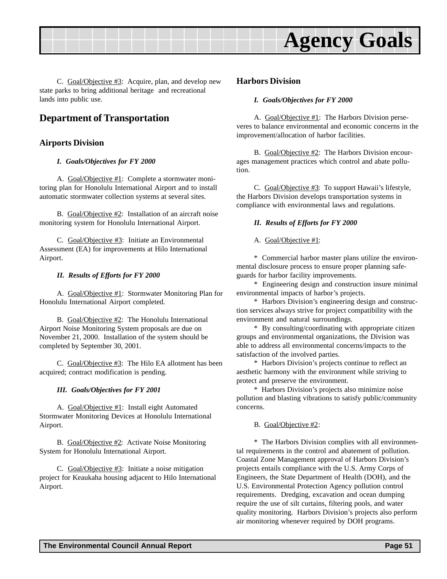<span id="page-50-0"></span>

C. Goal/Objective #3: Acquire, plan, and develop new state parks to bring additional heritage and recreational lands into public use.

### **Department of Transportation**

#### **Airports Division**

#### *I. Goals/Objectives for FY 2000*

A. Goal/Objective #1: Complete a stormwater monitoring plan for Honolulu International Airport and to install automatic stormwater collection systems at several sites.

B. Goal/Objective #2: Installation of an aircraft noise monitoring system for Honolulu International Airport.

C. Goal/Objective #3: Initiate an Environmental Assessment (EA) for improvements at Hilo International Airport.

#### *II. Results of Efforts for FY 2000*

A. Goal/Objective #1: Stormwater Monitoring Plan for Honolulu International Airport completed.

B. Goal/Objective #2: The Honolulu International Airport Noise Monitoring System proposals are due on November 21, 2000. Installation of the system should be completed by September 30, 2001.

C. Goal/Objective #3: The Hilo EA allotment has been acquired; contract modification is pending.

#### *III. Goals/Objectives for FY 2001*

A. Goal/Objective #1: Install eight Automated Stormwater Monitoring Devices at Honolulu International Airport.

B. Goal/Objective #2: Activate Noise Monitoring System for Honolulu International Airport.

C. Goal/Objective #3: Initiate a noise mitigation project for Keaukaha housing adjacent to Hilo International Airport.

#### **Harbors Division**

#### *I. Goals/Objectives for FY 2000*

A. Goal/Objective #1: The Harbors Division perseveres to balance environmental and economic concerns in the improvement/allocation of harbor facilities.

B. Goal/Objective #2: The Harbors Division encourages management practices which control and abate pollution.

C. Goal/Objective #3: To support Hawaii's lifestyle, the Harbors Division develops transportation systems in compliance with environmental laws and regulations.

#### *II. Results of Efforts for FY 2000*

A. Goal/Objective #1:

\* Commercial harbor master plans utilize the environmental disclosure process to ensure proper planning safeguards for harbor facility improvements.

\* Engineering design and construction insure minimal environmental impacts of harbor's projects.

\* Harbors Division's engineering design and construction services always strive for project compatibility with the environment and natural surroundings.

\* By consulting/coordinating with appropriate citizen groups and environmental organizations, the Division was able to address all environmental concerns/impacts to the satisfaction of the involved parties.

\* Harbors Division's projects continue to reflect an aesthetic harmony with the environment while striving to protect and preserve the environment.

\* Harbors Division's projects also minimize noise pollution and blasting vibrations to satisfy public/community concerns.

#### B. Goal/Objective #2:

\* The Harbors Division complies with all environmental requirements in the control and abatement of pollution. Coastal Zone Management approval of Harbors Division's projects entails compliance with the U.S. Army Corps of Engineers, the State Department of Health (DOH), and the U.S. Environmental Protection Agency pollution control requirements. Dredging, excavation and ocean dumping require the use of silt curtains, filtering pools, and water quality monitoring. Harbors Division's projects also perform air monitoring whenever required by DOH programs.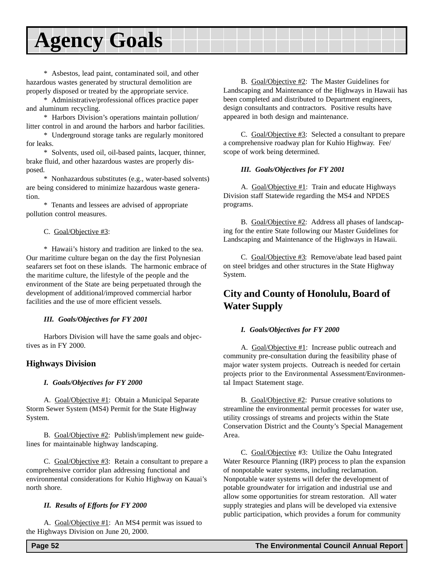<span id="page-51-0"></span>\* Asbestos, lead paint, contaminated soil, and other hazardous wastes generated by structural demolition are properly disposed or treated by the appropriate service.

\* Administrative/professional offices practice paper and aluminum recycling.

\* Harbors Division's operations maintain pollution/ litter control in and around the harbors and harbor facilities.

\* Underground storage tanks are regularly monitored for leaks.

\* Solvents, used oil, oil-based paints, lacquer, thinner, brake fluid, and other hazardous wastes are properly disposed.

\* Nonhazardous substitutes (e.g., water-based solvents) are being considered to minimize hazardous waste generation.

\* Tenants and lessees are advised of appropriate pollution control measures.

#### C. Goal/Objective #3:

\* Hawaii's history and tradition are linked to the sea. Our maritime culture began on the day the first Polynesian seafarers set foot on these islands. The harmonic embrace of the maritime culture, the lifestyle of the people and the environment of the State are being perpetuated through the development of additional/improved commercial harbor facilities and the use of more efficient vessels.

#### *III. Goals/Objectives for FY 2001*

Harbors Division will have the same goals and objectives as in FY 2000.

#### **Highways Division**

#### *I. Goals/Objectives for FY 2000*

A. Goal/Objective #1: Obtain a Municipal Separate Storm Sewer System (MS4) Permit for the State Highway System.

B. Goal/Objective #2: Publish/implement new guidelines for maintainable highway landscaping.

C. Goal/Objective #3: Retain a consultant to prepare a comprehensive corridor plan addressing functional and environmental considerations for Kuhio Highway on Kauai's north shore.

#### *II. Results of Efforts for FY 2000*

A. Goal/Objective #1: An MS4 permit was issued to the Highways Division on June 20, 2000.

B. Goal/Objective #2: The Master Guidelines for Landscaping and Maintenance of the Highways in Hawaii has been completed and distributed to Department engineers, design consultants and contractors. Positive results have appeared in both design and maintenance.

C. Goal/Objective #3: Selected a consultant to prepare a comprehensive roadway plan for Kuhio Highway. Fee/ scope of work being determined.

#### *III. Goals/Objectives for FY 2001*

A. Goal/Objective #1: Train and educate Highways Division staff Statewide regarding the MS4 and NPDES programs.

B. Goal/Objective #2: Address all phases of landscaping for the entire State following our Master Guidelines for Landscaping and Maintenance of the Highways in Hawaii.

C. Goal/Objective #3: Remove/abate lead based paint on steel bridges and other structures in the State Highway System.

### **City and County of Honolulu, Board of Water Supply**

#### *I. Goals/Objectives for FY 2000*

A. Goal/Objective #1: Increase public outreach and community pre-consultation during the feasibility phase of major water system projects. Outreach is needed for certain projects prior to the Environmental Assessment/Environmental Impact Statement stage.

B. Goal/Objective #2: Pursue creative solutions to streamline the environmental permit processes for water use, utility crossings of streams and projects within the State Conservation District and the County's Special Management Area.

C. Goal/Objective #3: Utilize the Oahu Integrated Water Resource Planning (IRP) process to plan the expansion of nonpotable water systems, including reclamation. Nonpotable water systems will defer the development of potable groundwater for irrigation and industrial use and allow some opportunities for stream restoration. All water supply strategies and plans will be developed via extensive public participation, which provides a forum for community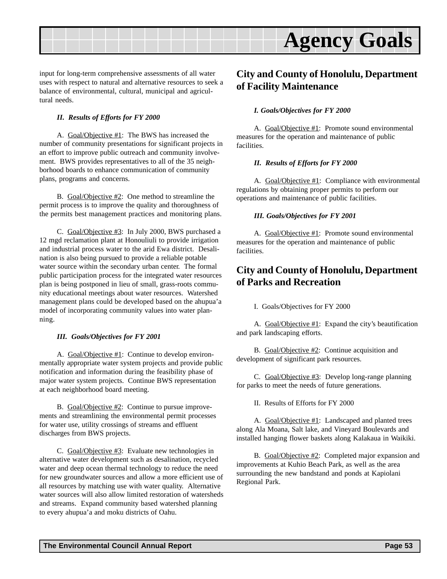<span id="page-52-0"></span>

input for long-term comprehensive assessments of all water uses with respect to natural and alternative resources to seek a balance of environmental, cultural, municipal and agricultural needs.

#### *II. Results of Efforts for FY 2000*

A. Goal/Objective #1: The BWS has increased the number of community presentations for significant projects in an effort to improve public outreach and community involvement. BWS provides representatives to all of the 35 neighborhood boards to enhance communication of community plans, programs and concerns.

B. Goal/Objective #2: One method to streamline the permit process is to improve the quality and thoroughness of the permits best management practices and monitoring plans.

C. Goal/Objective #3: In July 2000, BWS purchased a 12 mgd reclamation plant at Honouliuli to provide irrigation and industrial process water to the arid Ewa district. Desalination is also being pursued to provide a reliable potable water source within the secondary urban center. The formal public participation process for the integrated water resources plan is being postponed in lieu of small, grass-roots community educational meetings about water resources. Watershed management plans could be developed based on the ahupua'a model of incorporating community values into water planning.

#### *III. Goals/Objectives for FY 2001*

A. Goal/Objective #1: Continue to develop environmentally appropriate water system projects and provide public notification and information during the feasibility phase of major water system projects. Continue BWS representation at each neighborhood board meeting.

B. Goal/Objective #2: Continue to pursue improvements and streamlining the environmental permit processes for water use, utility crossings of streams and effluent discharges from BWS projects.

C. Goal/Objective #3: Evaluate new technologies in alternative water development such as desalination, recycled water and deep ocean thermal technology to reduce the need for new groundwater sources and allow a more efficient use of all resources by matching use with water quality. Alternative water sources will also allow limited restoration of watersheds and streams. Expand community based watershed planning to every ahupua'a and moku districts of Oahu.

### **City and County of Honolulu, Department of Facility Maintenance**

#### *I. Goals/Objectives for FY 2000*

A. Goal/Objective #1: Promote sound environmental measures for the operation and maintenance of public facilities.

#### *II. Results of Efforts for FY 2000*

A. Goal/Objective #1: Compliance with environmental regulations by obtaining proper permits to perform our operations and maintenance of public facilities.

#### *III. Goals/Objectives for FY 2001*

A. Goal/Objective #1: Promote sound environmental measures for the operation and maintenance of public facilities.

### **City and County of Honolulu, Department of Parks and Recreation**

I. Goals/Objectives for FY 2000

A. Goal/Objective #1: Expand the city's beautification and park landscaping efforts.

B. Goal/Objective #2: Continue acquisition and development of significant park resources.

C. Goal/Objective #3: Develop long-range planning for parks to meet the needs of future generations.

II. Results of Efforts for FY 2000

A. Goal/Objective #1: Landscaped and planted trees along Ala Moana, Salt lake, and Vineyard Boulevards and installed hanging flower baskets along Kalakaua in Waikiki.

B. Goal/Objective #2: Completed major expansion and improvements at Kuhio Beach Park, as well as the area surrounding the new bandstand and ponds at Kapiolani Regional Park.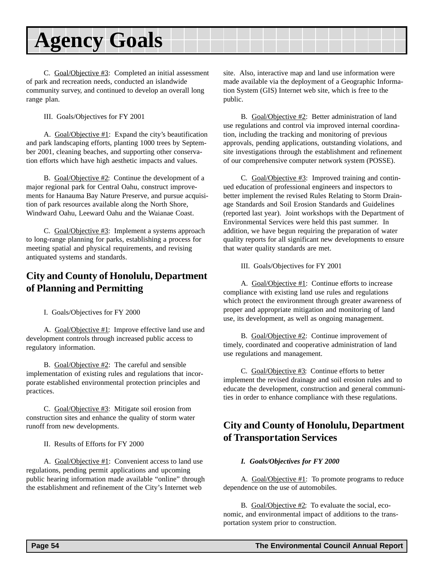<span id="page-53-0"></span>C. Goal/Objective #3: Completed an initial assessment of park and recreation needs, conducted an islandwide community survey, and continued to develop an overall long range plan.

III. Goals/Objectives for FY 2001

A. Goal/Objective #1: Expand the city's beautification and park landscaping efforts, planting 1000 trees by September 2001, cleaning beaches, and supporting other conservation efforts which have high aesthetic impacts and values.

B. Goal/Objective #2: Continue the development of a major regional park for Central Oahu, construct improvements for Hanauma Bay Nature Preserve, and pursue acquisition of park resources available along the North Shore, Windward Oahu, Leeward Oahu and the Waianae Coast.

C. Goal/Objective #3: Implement a systems approach to long-range planning for parks, establishing a process for meeting spatial and physical requirements, and revising antiquated systems and standards.

# **City and County of Honolulu, Department of Planning and Permitting**

I. Goals/Objectives for FY 2000

A. Goal/Objective #1: Improve effective land use and development controls through increased public access to regulatory information.

B. Goal/Objective #2: The careful and sensible implementation of existing rules and regulations that incorporate established environmental protection principles and practices.

C. Goal/Objective #3: Mitigate soil erosion from construction sites and enhance the quality of storm water runoff from new developments.

II. Results of Efforts for FY 2000

A. Goal/Objective #1: Convenient access to land use regulations, pending permit applications and upcoming public hearing information made available "online" through the establishment and refinement of the City's Internet web

site. Also, interactive map and land use information were made available via the deployment of a Geographic Information System (GIS) Internet web site, which is free to the public.

B. Goal/Objective #2: Better administration of land use regulations and control via improved internal coordination, including the tracking and monitoring of previous approvals, pending applications, outstanding violations, and site investigations through the establishment and refinement of our comprehensive computer network system (POSSE).

C. Goal/Objective #3: Improved training and continued education of professional engineers and inspectors to better implement the revised Rules Relating to Storm Drainage Standards and Soil Erosion Standards and Guidelines (reported last year). Joint workshops with the Department of Environmental Services were held this past summer. In addition, we have begun requiring the preparation of water quality reports for all significant new developments to ensure that water quality standards are met.

III. Goals/Objectives for FY 2001

A. Goal/Objective #1: Continue efforts to increase compliance with existing land use rules and regulations which protect the environment through greater awareness of proper and appropriate mitigation and monitoring of land use, its development, as well as ongoing management.

B. Goal/Objective #2: Continue improvement of timely, coordinated and cooperative administration of land use regulations and management.

C. Goal/Objective #3: Continue efforts to better implement the revised drainage and soil erosion rules and to educate the development, construction and general communities in order to enhance compliance with these regulations.

# **City and County of Honolulu, Department of Transportation Services**

#### *I. Goals/Objectives for FY 2000*

A. Goal/Objective #1: To promote programs to reduce dependence on the use of automobiles.

B. Goal/Objective #2: To evaluate the social, economic, and environmental impact of additions to the transportation system prior to construction.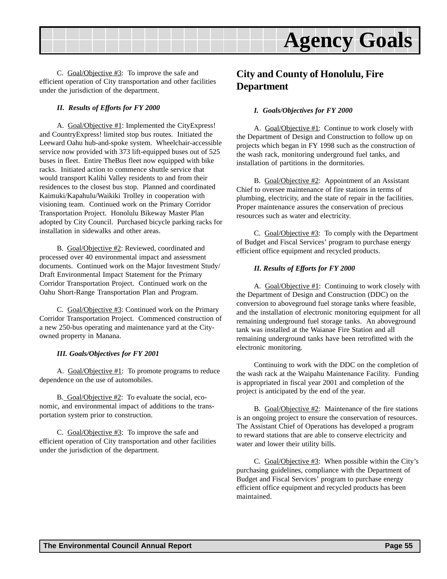<span id="page-54-0"></span>

C. Goal/Objective #3: To improve the safe and efficient operation of City transportation and other facilities under the jurisdiction of the department.

#### *II. Results of Efforts for FY 2000*

A. Goal/Objective #1: Implemented the CityExpress! and CountryExpress! limited stop bus routes. Initiated the Leeward Oahu hub-and-spoke system. Wheelchair-accessible service now provided with 373 lift-equipped buses out of 525 buses in fleet. Entire TheBus fleet now equipped with bike racks. Initiated action to commence shuttle service that would transport Kalihi Valley residents to and from their residences to the closest bus stop. Planned and coordinated Kaimuki/Kapahulu/Waikiki Trolley in cooperation with visioning team. Continued work on the Primary Corridor Transportation Project. Honolulu Bikeway Master Plan adopted by City Council. Purchased bicycle parking racks for installation in sidewalks and other areas.

B. Goal/Objective #2: Reviewed, coordinated and processed over 40 environmental impact and assessment documents. Continued work on the Major Investment Study/ Draft Environmental Impact Statement for the Primary Corridor Transportation Project. Continued work on the Oahu Short-Range Transportation Plan and Program.

C. Goal/Objective #3: Continued work on the Primary Corridor Transportation Project. Commenced construction of a new 250-bus operating and maintenance yard at the Cityowned property in Manana.

#### *III. Goals/Objectives for FY 2001*

A. Goal/Objective #1: To promote programs to reduce dependence on the use of automobiles.

B. Goal/Objective #2: To evaluate the social, economic, and environmental impact of additions to the transportation system prior to construction.

C. Goal/Objective #3: To improve the safe and efficient operation of City transportation and other facilities under the jurisdiction of the department.

### **City and County of Honolulu, Fire Department**

#### *I. Goals/Objectives for FY 2000*

A. Goal/Objective #1: Continue to work closely with the Department of Design and Construction to follow up on projects which began in FY 1998 such as the construction of the wash rack, monitoring underground fuel tanks, and installation of partitions in the dormitories.

B. Goal/Objective #2: Appointment of an Assistant Chief to oversee maintenance of fire stations in terms of plumbing, electricity, and the state of repair in the facilities. Proper maintenance assures the conservation of precious resources such as water and electricity.

C. Goal/Objective #3: To comply with the Department of Budget and Fiscal Services' program to purchase energy efficient office equipment and recycled products.

#### *II. Results of Efforts for FY 2000*

A. Goal/Objective #1: Continuing to work closely with the Department of Design and Construction (DDC) on the conversion to aboveground fuel storage tanks where feasible, and the installation of electronic monitoring equipment for all remaining underground fuel storage tanks. An aboveground tank was installed at the Waianae Fire Station and all remaining underground tanks have been retrofitted with the electronic monitoring.

Continuing to work with the DDC on the completion of the wash rack at the Waipahu Maintenance Facility. Funding is appropriated in fiscal year 2001 and completion of the project is anticipated by the end of the year.

B. Goal/Objective #2: Maintenance of the fire stations is an ongoing project to ensure the conservation of resources. The Assistant Chief of Operations has developed a program to reward stations that are able to conserve electricity and water and lower their utility bills.

C.  $Goal/Objective #3$ : When possible within the City's purchasing guidelines, compliance with the Department of Budget and Fiscal Services' program to purchase energy efficient office equipment and recycled products has been maintained.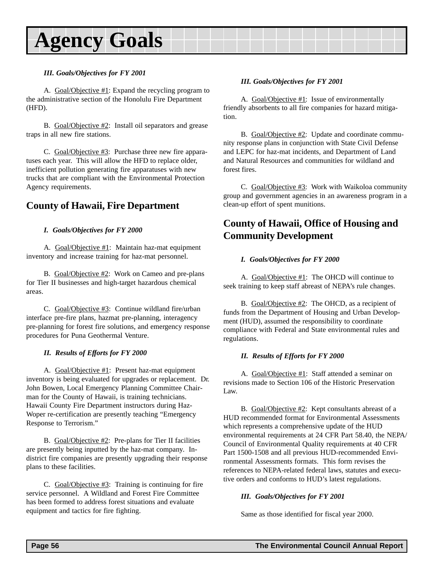#### <span id="page-55-0"></span>*III. Goals/Objectives for FY 2001*

A. Goal/Objective #1: Expand the recycling program to the administrative section of the Honolulu Fire Department (HFD).

B. Goal/Objective #2: Install oil separators and grease traps in all new fire stations.

C. Goal/Objective #3: Purchase three new fire apparatuses each year. This will allow the HFD to replace older, inefficient pollution generating fire apparatuses with new trucks that are compliant with the Environmental Protection Agency requirements.

### **County of Hawaii, Fire Department**

#### *I. Goals/Objectives for FY 2000*

A. Goal/Objective #1: Maintain haz-mat equipment inventory and increase training for haz-mat personnel.

B. Goal/Objective #2: Work on Cameo and pre-plans for Tier II businesses and high-target hazardous chemical areas.

C. Goal/Objective #3: Continue wildland fire/urban interface pre-fire plans, hazmat pre-planning, interagency pre-planning for forest fire solutions, and emergency response procedures for Puna Geothermal Venture.

#### *II. Results of Efforts for FY 2000*

A. Goal/Objective #1: Present haz-mat equipment inventory is being evaluated for upgrades or replacement. Dr. John Bowen, Local Emergency Planning Committee Chairman for the County of Hawaii, is training technicians. Hawaii County Fire Department instructors during Haz-Woper re-certification are presently teaching "Emergency Response to Terrorism."

B. Goal/Objective #2: Pre-plans for Tier II facilities are presently being inputted by the haz-mat company. Indistrict fire companies are presently upgrading their response plans to these facilities.

C. Goal/Objective #3: Training is continuing for fire service personnel. A Wildland and Forest Fire Committee has been formed to address forest situations and evaluate equipment and tactics for fire fighting.

#### *III. Goals/Objectives for FY 2001*

A. Goal/Objective #1: Issue of environmentally friendly absorbents to all fire companies for hazard mitigation.

B. Goal/Objective #2: Update and coordinate community response plans in conjunction with State Civil Defense and LEPC for haz-mat incidents, and Department of Land and Natural Resources and communities for wildland and forest fires.

C. Goal/Objective #3: Work with Waikoloa community group and government agencies in an awareness program in a clean-up effort of spent munitions.

### **County of Hawaii, Office of Housing and Community Development**

#### *I. Goals/Objectives for FY 2000*

A. Goal/Objective #1: The OHCD will continue to seek training to keep staff abreast of NEPA's rule changes.

B. Goal/Objective #2: The OHCD, as a recipient of funds from the Department of Housing and Urban Development (HUD), assumed the responsibility to coordinate compliance with Federal and State environmental rules and regulations.

#### *II. Results of Efforts for FY 2000*

A. Goal/Objective #1: Staff attended a seminar on revisions made to Section 106 of the Historic Preservation Law.

B. Goal/Objective #2: Kept consultants abreast of a HUD recommended format for Environmental Assessments which represents a comprehensive update of the HUD environmental requirements at 24 CFR Part 58.40, the NEPA/ Council of Environmental Quality requirements at 40 CFR Part 1500-1508 and all previous HUD-recommended Environmental Assessments formats. This form revises the references to NEPA-related federal laws, statutes and executive orders and conforms to HUD's latest regulations.

#### *III. Goals/Objectives for FY 2001*

Same as those identified for fiscal year 2000.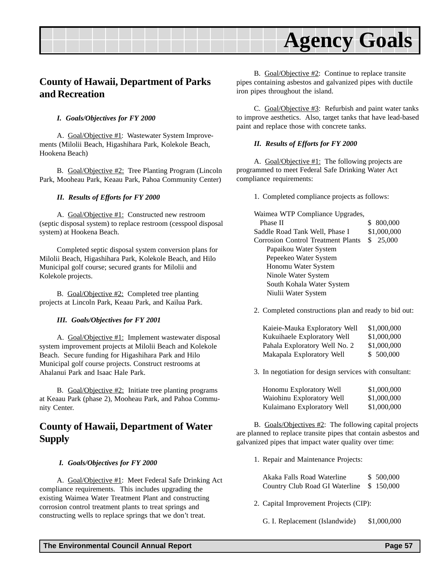### <span id="page-56-0"></span>**County of Hawaii, Department of Parks and Recreation**

#### *I. Goals/Objectives for FY 2000*

A. Goal/Objective #1: Wastewater System Improvements (Milolii Beach, Higashihara Park, Kolekole Beach, Hookena Beach)

B. Goal/Objective #2: Tree Planting Program (Lincoln Park, Mooheau Park, Keaau Park, Pahoa Community Center)

#### *II. Results of Efforts for FY 2000*

A. Goal/Objective #1: Constructed new restroom (septic disposal system) to replace restroom (cesspool disposal system) at Hookena Beach.

Completed septic disposal system conversion plans for Milolii Beach, Higashihara Park, Kolekole Beach, and Hilo Municipal golf course; secured grants for Milolii and Kolekole projects.

B. Goal/Objective #2: Completed tree planting projects at Lincoln Park, Keaau Park, and Kailua Park.

#### *III. Goals/Objectives for FY 2001*

A. Goal/Objective #1: Implement wastewater disposal system improvement projects at Milolii Beach and Kolekole Beach. Secure funding for Higashihara Park and Hilo Municipal golf course projects. Construct restrooms at Ahalanui Park and Isaac Hale Park.

B. Goal/Objective #2: Initiate tree planting programs at Keaau Park (phase 2), Mooheau Park, and Pahoa Community Center.

### **County of Hawaii, Department of Water Supply**

#### *I. Goals/Objectives for FY 2000*

A. Goal/Objective #1: Meet Federal Safe Drinking Act compliance requirements. This includes upgrading the existing Waimea Water Treatment Plant and constructing corrosion control treatment plants to treat springs and constructing wells to replace springs that we don't treat.

B. Goal/Objective #2: Continue to replace transite pipes containing asbestos and galvanized pipes with ductile iron pipes throughout the island.

C. Goal/Objective #3: Refurbish and paint water tanks to improve aesthetics. Also, target tanks that have lead-based paint and replace those with concrete tanks.

#### *II. Results of Efforts for FY 2000*

A. Goal/Objective #1: The following projects are programmed to meet Federal Safe Drinking Water Act compliance requirements:

1. Completed compliance projects as follows:

Waimea WTP Compliance Upgrades, Phase II \$ 800,000 Saddle Road Tank Well, Phase I \$1,000,000 Corrosion Control Treatment Plants \$ 25,000 Papaikou Water System Pepeekeo Water System Honomu Water System Ninole Water System South Kohala Water System Niulii Water System

2. Completed constructions plan and ready to bid out:

| \$1,000,000 |
|-------------|
| \$1,000,000 |
| \$1,000,000 |
| \$500,000   |
|             |

3. In negotiation for design services with consultant:

| Honomu Exploratory Well    | \$1,000,000 |
|----------------------------|-------------|
| Waiohinu Exploratory Well  | \$1,000,000 |
| Kulaimano Exploratory Well | \$1,000,000 |

B. Goals/Objectives #2: The following capital projects are planned to replace transite pipes that contain asbestos and galvanized pipes that impact water quality over time:

1. Repair and Maintenance Projects:

| Akaka Falls Road Waterline               | \$ 500,000 |
|------------------------------------------|------------|
| Country Club Road GI Waterline \$150,000 |            |

- 2. Capital Improvement Projects (CIP):
	- G. I. Replacement (Islandwide) \$1,000,000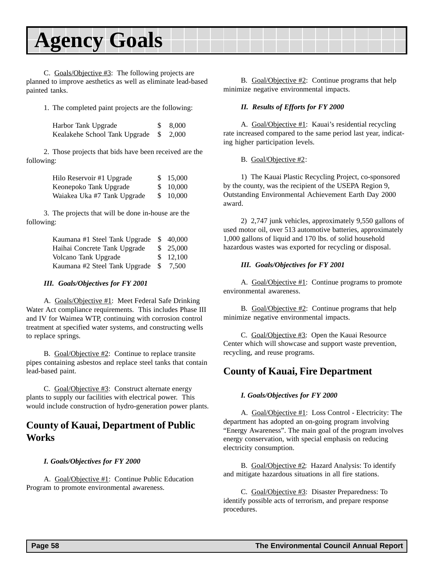<span id="page-57-0"></span>C. Goals/Objective #3: The following projects are planned to improve aesthetics as well as eliminate lead-based painted tanks.

1. The completed paint projects are the following:

| Harbor Tank Upgrade                   | \$8,000 |
|---------------------------------------|---------|
| Kealakehe School Tank Upgrade \$2,000 |         |

2. Those projects that bids have been received are the following:

| Hilo Reservoir #1 Upgrade   | \$15,000 |
|-----------------------------|----------|
| Keonepoko Tank Upgrade      | \$10,000 |
| Waiakea Uka #7 Tank Upgrade | \$10,000 |

3. The projects that will be done in-house are the following:

| Kaumana #1 Steel Tank Upgrade \$40,000 |           |
|----------------------------------------|-----------|
| Haihai Concrete Tank Upgrade           | \$25,000  |
| Volcano Tank Upgrade                   | \$ 12,100 |
| Kaumana #2 Steel Tank Upgrade \$ 7,500 |           |

#### *III. Goals/Objectives for FY 2001*

A. Goals/Objective #1: Meet Federal Safe Drinking Water Act compliance requirements. This includes Phase III and IV for Waimea WTP, continuing with corrosion control treatment at specified water systems, and constructing wells to replace springs.

B. Goal/Objective #2: Continue to replace transite pipes containing asbestos and replace steel tanks that contain lead-based paint.

C. Goal/Objective #3: Construct alternate energy plants to supply our facilities with electrical power. This would include construction of hydro-generation power plants.

### **County of Kauai, Department of Public Works**

*I. Goals/Objectives for FY 2000*

A. Goal/Objective #1: Continue Public Education Program to promote environmental awareness.

B. Goal/Objective #2: Continue programs that help minimize negative environmental impacts.

#### *II. Results of Efforts for FY 2000*

A. Goal/Objective #1: Kauai's residential recycling rate increased compared to the same period last year, indicating higher participation levels.

B. Goal/Objective #2:

1) The Kauai Plastic Recycling Project, co-sponsored by the county, was the recipient of the USEPA Region 9, Outstanding Environmental Achievement Earth Day 2000 award.

2) 2,747 junk vehicles, approximately 9,550 gallons of used motor oil, over 513 automotive batteries, approximately 1,000 gallons of liquid and 170 lbs. of solid household hazardous wastes was exported for recycling or disposal.

#### *III. Goals/Objectives for FY 2001*

A. Goal/Objective #1: Continue programs to promote environmental awareness.

B. Goal/Objective #2: Continue programs that help minimize negative environmental impacts.

C. Goal/Objective #3: Open the Kauai Resource Center which will showcase and support waste prevention, recycling, and reuse programs.

### **County of Kauai, Fire Department**

#### *I. Goals/Objectives for FY 2000*

A. Goal/Objective #1: Loss Control - Electricity: The department has adopted an on-going program involving "Energy Awareness". The main goal of the program involves energy conservation, with special emphasis on reducing electricity consumption.

B. Goal/Objective #2: Hazard Analysis: To identify and mitigate hazardous situations in all fire stations.

C. Goal/Objective #3: Disaster Preparedness: To identify possible acts of terrorism, and prepare response procedures.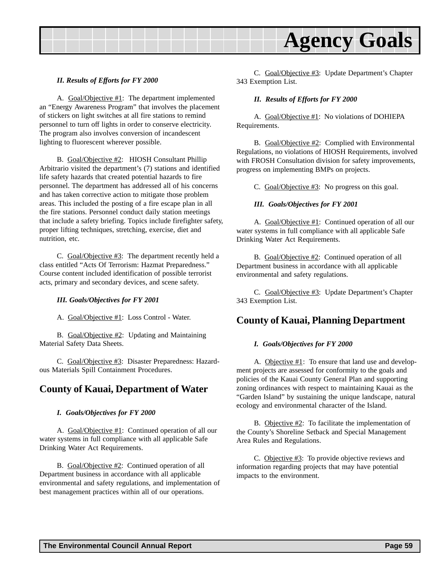<span id="page-58-0"></span>

#### *II. Results of Efforts for FY 2000*

A. Goal/Objective #1: The department implemented an "Energy Awareness Program" that involves the placement of stickers on light switches at all fire stations to remind personnel to turn off lights in order to conserve electricity. The program also involves conversion of incandescent lighting to fluorescent wherever possible.

B. Goal/Objective #2: HIOSH Consultant Phillip Arbitrario visited the department's (7) stations and identified life safety hazards that created potential hazards to fire personnel. The department has addressed all of his concerns and has taken corrective action to mitigate those problem areas. This included the posting of a fire escape plan in all the fire stations. Personnel conduct daily station meetings that include a safety briefing. Topics include firefighter safety, proper lifting techniques, stretching, exercise, diet and nutrition, etc.

C. Goal/Objective #3: The department recently held a class entitled "Acts Of Terrorism: Hazmat Preparedness." Course content included identification of possible terrorist acts, primary and secondary devices, and scene safety.

#### *III. Goals/Objectives for FY 2001*

A. Goal/Objective #1: Loss Control - Water.

B. Goal/Objective #2: Updating and Maintaining Material Safety Data Sheets.

C. Goal/Objective #3: Disaster Preparedness: Hazardous Materials Spill Containment Procedures.

#### **County of Kauai, Department of Water**

#### *I. Goals/Objectives for FY 2000*

A. Goal/Objective #1: Continued operation of all our water systems in full compliance with all applicable Safe Drinking Water Act Requirements.

B. Goal/Objective #2: Continued operation of all Department business in accordance with all applicable environmental and safety regulations, and implementation of best management practices within all of our operations.

C. Goal/Objective #3: Update Department's Chapter 343 Exemption List.

#### *II. Results of Efforts for FY 2000*

A. Goal/Objective #1: No violations of DOHIEPA Requirements.

B. Goal/Objective #2: Complied with Environmental Regulations, no violations of HIOSH Requirements, involved with FROSH Consultation division for safety improvements, progress on implementing BMPs on projects.

C. Goal/Objective #3: No progress on this goal.

#### *III. Goals/Objectives for FY 2001*

A. Goal/Objective #1: Continued operation of all our water systems in full compliance with all applicable Safe Drinking Water Act Requirements.

B. Goal/Objective #2: Continued operation of all Department business in accordance with all applicable environmental and safety regulations.

C. Goal/Objective #3: Update Department's Chapter 343 Exemption List.

### **County of Kauai, Planning Department**

#### *I. Goals/Objectives for FY 2000*

A. Objective  $#1$ : To ensure that land use and development projects are assessed for conformity to the goals and policies of the Kauai County General Plan and supporting zoning ordinances with respect to maintaining Kauai as the "Garden Island" by sustaining the unique landscape, natural ecology and environmental character of the Island.

B. Objective #2: To facilitate the implementation of the County's Shoreline Setback and Special Management Area Rules and Regulations.

C. Objective #3: To provide objective reviews and information regarding projects that may have potential impacts to the environment.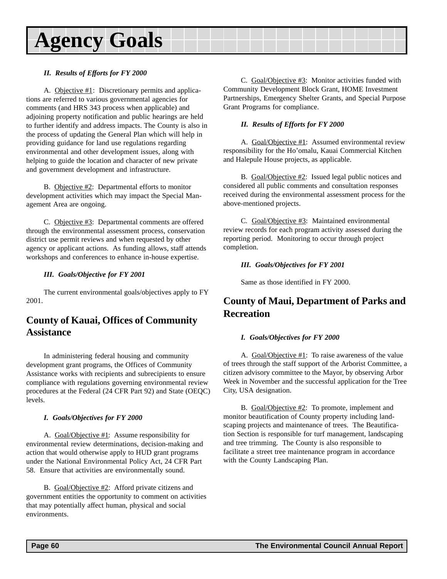#### <span id="page-59-0"></span>*II. Results of Efforts for FY 2000*

A. Objective #1: Discretionary permits and applications are referred to various governmental agencies for comments (and HRS 343 process when applicable) and adjoining property notification and public hearings are held to further identify and address impacts. The County is also in the process of updating the General Plan which will help in providing guidance for land use regulations regarding environmental and other development issues, along with helping to guide the location and character of new private and government development and infrastructure.

B. Objective #2: Departmental efforts to monitor development activities which may impact the Special Management Area are ongoing.

C. Objective #3: Departmental comments are offered through the environmental assessment process, conservation district use permit reviews and when requested by other agency or applicant actions. As funding allows, staff attends workshops and conferences to enhance in-house expertise.

#### *III. Goals/Objective for FY 2001*

The current environmental goals/objectives apply to FY 2001.

### **County of Kauai, Offices of Community Assistance**

In administering federal housing and community development grant programs, the Offices of Community Assistance works with recipients and subrecipients to ensure compliance with regulations governing environmental review procedures at the Federal (24 CFR Part 92) and State (OEQC) levels.

#### *I. Goals/Objectives for FY 2000*

A. Goal/Objective #1: Assume responsibility for environmental review determinations, decision-making and action that would otherwise apply to HUD grant programs under the National Environmental Policy Act, 24 CFR Part 58. Ensure that activities are environmentally sound.

B. Goal/Objective #2: Afford private citizens and government entities the opportunity to comment on activities that may potentially affect human, physical and social environments.

C. Goal/Objective #3: Monitor activities funded with Community Development Block Grant, HOME Investment Partnerships, Emergency Shelter Grants, and Special Purpose Grant Programs for compliance.

#### *II. Results of Efforts for FY 2000*

A. Goal/Objective #1: Assumed environmental review responsibility for the Ho'omalu, Kauai Commercial Kitchen and Halepule House projects, as applicable.

B. Goal/Objective #2: Issued legal public notices and considered all public comments and consultation responses received during the environmental assessment process for the above-mentioned projects.

C. Goal/Objective #3: Maintained environmental review records for each program activity assessed during the reporting period. Monitoring to occur through project completion.

#### *III. Goals/Objectives for FY 2001*

Same as those identified in FY 2000.

# **County of Maui, Department of Parks and Recreation**

#### *I. Goals/Objectives for FY 2000*

A. Goal/Objective #1: To raise awareness of the value of trees through the staff support of the Arborist Committee, a citizen advisory committee to the Mayor, by observing Arbor Week in November and the successful application for the Tree City, USA designation.

B. Goal/Objective #2: To promote, implement and monitor beautification of County property including landscaping projects and maintenance of trees. The Beautification Section is responsible for turf management, landscaping and tree trimming. The County is also responsible to facilitate a street tree maintenance program in accordance with the County Landscaping Plan.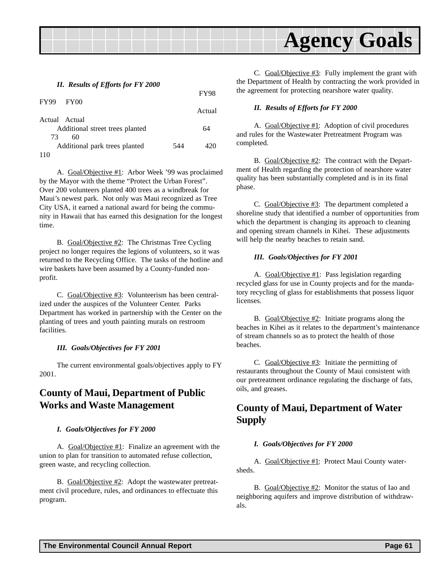<span id="page-60-0"></span>

#### *II. Results of Efforts for FY 2000*

|               |                                 |     | <b>FY98</b> |
|---------------|---------------------------------|-----|-------------|
| <b>FY99</b>   | <b>FY00</b>                     |     | Actual      |
| Actual Actual |                                 |     |             |
|               | Additional street trees planted |     | 64          |
| 73            | 60                              |     |             |
|               | Additional park trees planted   | 544 | 420         |
| 110           |                                 |     |             |

A. Goal/Objective #1: Arbor Week '99 was proclaimed by the Mayor with the theme "Protect the Urban Forest". Over 200 volunteers planted 400 trees as a windbreak for Maui's newest park. Not only was Maui recognized as Tree City USA, it earned a national award for being the community in Hawaii that has earned this designation for the longest time.

B. Goal/Objective #2: The Christmas Tree Cycling project no longer requires the legions of volunteers, so it was returned to the Recycling Office. The tasks of the hotline and wire baskets have been assumed by a County-funded nonprofit.

C. Goal/Objective #3: Volunteerism has been centralized under the auspices of the Volunteer Center. Parks Department has worked in partnership with the Center on the planting of trees and youth painting murals on restroom facilities.

#### *III. Goals/Objectives for FY 2001*

The current environmental goals/objectives apply to FY 2001.

### **County of Maui, Department of Public Works and Waste Management**

#### *I. Goals/Objectives for FY 2000*

A. Goal/Objective #1: Finalize an agreement with the union to plan for transition to automated refuse collection, green waste, and recycling collection.

B. Goal/Objective #2: Adopt the wastewater pretreatment civil procedure, rules, and ordinances to effectuate this program.

C. Goal/Objective #3: Fully implement the grant with the Department of Health by contracting the work provided in the agreement for protecting nearshore water quality.

#### *II. Results of Efforts for FY 2000*

A. Goal/Objective #1: Adoption of civil procedures and rules for the Wastewater Pretreatment Program was completed.

B. Goal/Objective #2: The contract with the Department of Health regarding the protection of nearshore water quality has been substantially completed and is in its final phase.

C. Goal/Objective #3: The department completed a shoreline study that identified a number of opportunities from which the department is changing its approach to cleaning and opening stream channels in Kihei. These adjustments will help the nearby beaches to retain sand.

#### *III. Goals/Objectives for FY 2001*

A. Goal/Objective #1: Pass legislation regarding recycled glass for use in County projects and for the mandatory recycling of glass for establishments that possess liquor licenses.

B. Goal/Objective #2: Initiate programs along the beaches in Kihei as it relates to the department's maintenance of stream channels so as to protect the health of those beaches.

C. Goal/Objective #3: Initiate the permitting of restaurants throughout the County of Maui consistent with our pretreatment ordinance regulating the discharge of fats, oils, and greases.

### **County of Maui, Department of Water Supply**

#### *I. Goals/Objectives for FY 2000*

A. Goal/Objective #1: Protect Maui County watersheds.

B. Goal/Objective #2: Monitor the status of Iao and neighboring aquifers and improve distribution of withdrawals.